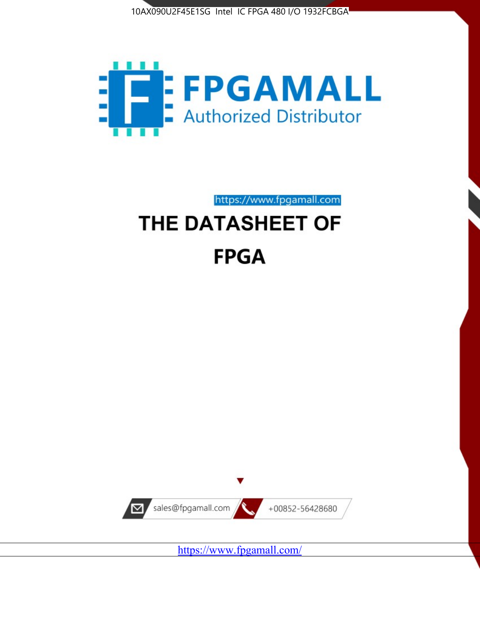



https://www.fpgamall.com

# THE DATASHEET OF **FPGA**



<https://www.fpgamall.com/>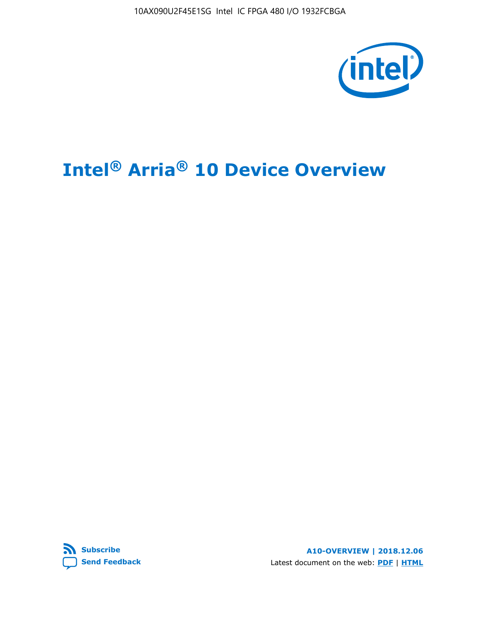10AX090U2F45E1SG Intel IC FPGA 480 I/O 1932FCBGA



# **Intel® Arria® 10 Device Overview**



**A10-OVERVIEW | 2018.12.06** Latest document on the web: **[PDF](https://www.intel.com/content/dam/www/programmable/us/en/pdfs/literature/hb/arria-10/a10_overview.pdf)** | **[HTML](https://www.intel.com/content/www/us/en/programmable/documentation/sam1403480274650.html)**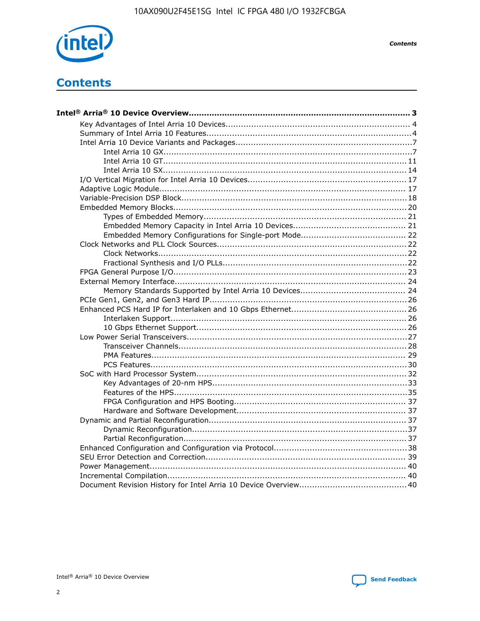

**Contents** 

# **Contents**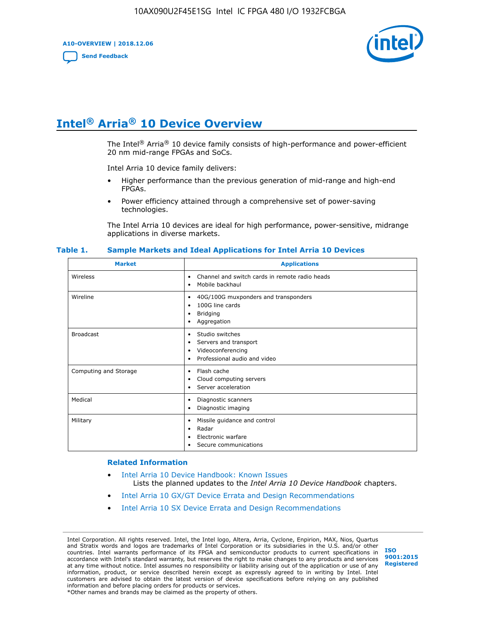**A10-OVERVIEW | 2018.12.06**

**[Send Feedback](mailto:FPGAtechdocfeedback@intel.com?subject=Feedback%20on%20Intel%20Arria%2010%20Device%20Overview%20(A10-OVERVIEW%202018.12.06)&body=We%20appreciate%20your%20feedback.%20In%20your%20comments,%20also%20specify%20the%20page%20number%20or%20paragraph.%20Thank%20you.)**



# **Intel® Arria® 10 Device Overview**

The Intel<sup>®</sup> Arria<sup>®</sup> 10 device family consists of high-performance and power-efficient 20 nm mid-range FPGAs and SoCs.

Intel Arria 10 device family delivers:

- Higher performance than the previous generation of mid-range and high-end FPGAs.
- Power efficiency attained through a comprehensive set of power-saving technologies.

The Intel Arria 10 devices are ideal for high performance, power-sensitive, midrange applications in diverse markets.

| <b>Market</b>         | <b>Applications</b>                                                                                               |
|-----------------------|-------------------------------------------------------------------------------------------------------------------|
| Wireless              | Channel and switch cards in remote radio heads<br>٠<br>Mobile backhaul<br>٠                                       |
| Wireline              | 40G/100G muxponders and transponders<br>٠<br>100G line cards<br>٠<br><b>Bridging</b><br>٠<br>Aggregation<br>٠     |
| <b>Broadcast</b>      | Studio switches<br>٠<br>Servers and transport<br>٠<br>Videoconferencing<br>٠<br>Professional audio and video<br>٠ |
| Computing and Storage | Flash cache<br>٠<br>Cloud computing servers<br>٠<br>Server acceleration<br>٠                                      |
| Medical               | Diagnostic scanners<br>٠<br>Diagnostic imaging<br>٠                                                               |
| Military              | Missile guidance and control<br>٠<br>Radar<br>٠<br>Electronic warfare<br>٠<br>Secure communications<br>٠          |

#### **Table 1. Sample Markets and Ideal Applications for Intel Arria 10 Devices**

#### **Related Information**

- [Intel Arria 10 Device Handbook: Known Issues](http://www.altera.com/support/kdb/solutions/rd07302013_646.html) Lists the planned updates to the *Intel Arria 10 Device Handbook* chapters.
- [Intel Arria 10 GX/GT Device Errata and Design Recommendations](https://www.intel.com/content/www/us/en/programmable/documentation/agz1493851706374.html#yqz1494433888646)
- [Intel Arria 10 SX Device Errata and Design Recommendations](https://www.intel.com/content/www/us/en/programmable/documentation/cru1462832385668.html#cru1462832558642)

Intel Corporation. All rights reserved. Intel, the Intel logo, Altera, Arria, Cyclone, Enpirion, MAX, Nios, Quartus and Stratix words and logos are trademarks of Intel Corporation or its subsidiaries in the U.S. and/or other countries. Intel warrants performance of its FPGA and semiconductor products to current specifications in accordance with Intel's standard warranty, but reserves the right to make changes to any products and services at any time without notice. Intel assumes no responsibility or liability arising out of the application or use of any information, product, or service described herein except as expressly agreed to in writing by Intel. Intel customers are advised to obtain the latest version of device specifications before relying on any published information and before placing orders for products or services. \*Other names and brands may be claimed as the property of others.

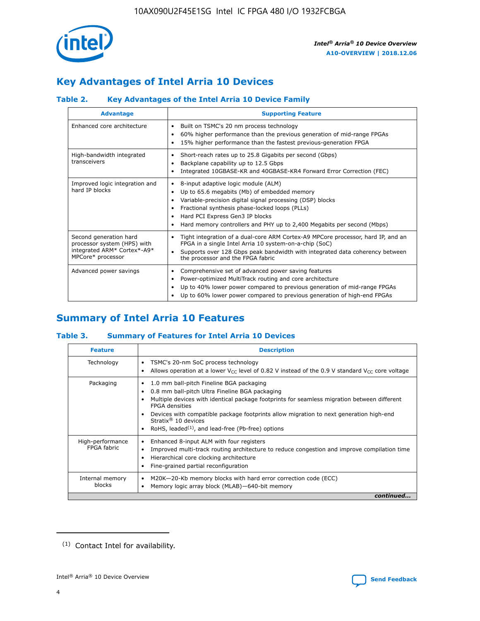

# **Key Advantages of Intel Arria 10 Devices**

# **Table 2. Key Advantages of the Intel Arria 10 Device Family**

| <b>Advantage</b>                                                                                          | <b>Supporting Feature</b>                                                                                                                                                                                                                                                                                                |
|-----------------------------------------------------------------------------------------------------------|--------------------------------------------------------------------------------------------------------------------------------------------------------------------------------------------------------------------------------------------------------------------------------------------------------------------------|
| Enhanced core architecture                                                                                | Built on TSMC's 20 nm process technology<br>٠<br>60% higher performance than the previous generation of mid-range FPGAs<br>٠<br>15% higher performance than the fastest previous-generation FPGA<br>٠                                                                                                                    |
| High-bandwidth integrated<br>transceivers                                                                 | Short-reach rates up to 25.8 Gigabits per second (Gbps)<br>٠<br>Backplane capability up to 12.5 Gbps<br>٠<br>Integrated 10GBASE-KR and 40GBASE-KR4 Forward Error Correction (FEC)<br>٠                                                                                                                                   |
| Improved logic integration and<br>hard IP blocks                                                          | 8-input adaptive logic module (ALM)<br>٠<br>Up to 65.6 megabits (Mb) of embedded memory<br>٠<br>Variable-precision digital signal processing (DSP) blocks<br>Fractional synthesis phase-locked loops (PLLs)<br>Hard PCI Express Gen3 IP blocks<br>Hard memory controllers and PHY up to 2,400 Megabits per second (Mbps) |
| Second generation hard<br>processor system (HPS) with<br>integrated ARM* Cortex*-A9*<br>MPCore* processor | Tight integration of a dual-core ARM Cortex-A9 MPCore processor, hard IP, and an<br>٠<br>FPGA in a single Intel Arria 10 system-on-a-chip (SoC)<br>Supports over 128 Gbps peak bandwidth with integrated data coherency between<br>$\bullet$<br>the processor and the FPGA fabric                                        |
| Advanced power savings                                                                                    | Comprehensive set of advanced power saving features<br>٠<br>Power-optimized MultiTrack routing and core architecture<br>٠<br>Up to 40% lower power compared to previous generation of mid-range FPGAs<br>٠<br>Up to 60% lower power compared to previous generation of high-end FPGAs                                    |

# **Summary of Intel Arria 10 Features**

## **Table 3. Summary of Features for Intel Arria 10 Devices**

| <b>Feature</b>                  | <b>Description</b>                                                                                                                                                                                                                                                                                                                                                                                           |
|---------------------------------|--------------------------------------------------------------------------------------------------------------------------------------------------------------------------------------------------------------------------------------------------------------------------------------------------------------------------------------------------------------------------------------------------------------|
| Technology                      | TSMC's 20-nm SoC process technology<br>Allows operation at a lower $V_{\text{CC}}$ level of 0.82 V instead of the 0.9 V standard $V_{\text{CC}}$ core voltage                                                                                                                                                                                                                                                |
| Packaging                       | 1.0 mm ball-pitch Fineline BGA packaging<br>٠<br>0.8 mm ball-pitch Ultra Fineline BGA packaging<br>Multiple devices with identical package footprints for seamless migration between different<br><b>FPGA</b> densities<br>Devices with compatible package footprints allow migration to next generation high-end<br>Stratix <sup>®</sup> 10 devices<br>RoHS, leaded $(1)$ , and lead-free (Pb-free) options |
| High-performance<br>FPGA fabric | Enhanced 8-input ALM with four registers<br>Improved multi-track routing architecture to reduce congestion and improve compilation time<br>Hierarchical core clocking architecture<br>Fine-grained partial reconfiguration                                                                                                                                                                                   |
| Internal memory<br>blocks       | M20K-20-Kb memory blocks with hard error correction code (ECC)<br>Memory logic array block (MLAB)-640-bit memory                                                                                                                                                                                                                                                                                             |
|                                 | continued                                                                                                                                                                                                                                                                                                                                                                                                    |



<sup>(1)</sup> Contact Intel for availability.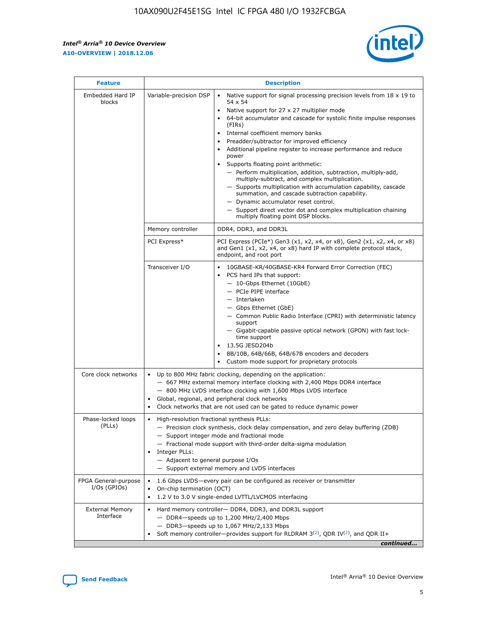r



| <b>Feature</b>                         | <b>Description</b>                                                                                                                                                                                                                                                                                                                |                                                                                                                                                                                                                                                                                                                                                                                                                                                                                                                                                                                                                                                                                                                                                                                                                                                                  |  |  |  |  |  |
|----------------------------------------|-----------------------------------------------------------------------------------------------------------------------------------------------------------------------------------------------------------------------------------------------------------------------------------------------------------------------------------|------------------------------------------------------------------------------------------------------------------------------------------------------------------------------------------------------------------------------------------------------------------------------------------------------------------------------------------------------------------------------------------------------------------------------------------------------------------------------------------------------------------------------------------------------------------------------------------------------------------------------------------------------------------------------------------------------------------------------------------------------------------------------------------------------------------------------------------------------------------|--|--|--|--|--|
| Embedded Hard IP<br>blocks             | Variable-precision DSP                                                                                                                                                                                                                                                                                                            | Native support for signal processing precision levels from $18 \times 19$ to<br>$\bullet$<br>54 x 54<br>Native support for 27 x 27 multiplier mode<br>$\bullet$<br>64-bit accumulator and cascade for systolic finite impulse responses<br>(FIRs)<br>Internal coefficient memory banks<br>$\bullet$<br>Preadder/subtractor for improved efficiency<br>Additional pipeline register to increase performance and reduce<br>power<br>Supports floating point arithmetic:<br>- Perform multiplication, addition, subtraction, multiply-add,<br>multiply-subtract, and complex multiplication.<br>- Supports multiplication with accumulation capability, cascade<br>summation, and cascade subtraction capability.<br>- Dynamic accumulator reset control.<br>- Support direct vector dot and complex multiplication chaining<br>multiply floating point DSP blocks. |  |  |  |  |  |
|                                        | Memory controller                                                                                                                                                                                                                                                                                                                 | DDR4, DDR3, and DDR3L                                                                                                                                                                                                                                                                                                                                                                                                                                                                                                                                                                                                                                                                                                                                                                                                                                            |  |  |  |  |  |
|                                        | PCI Express*                                                                                                                                                                                                                                                                                                                      | PCI Express (PCIe*) Gen3 (x1, x2, x4, or x8), Gen2 (x1, x2, x4, or x8)<br>and Gen1 (x1, x2, x4, or x8) hard IP with complete protocol stack,<br>endpoint, and root port                                                                                                                                                                                                                                                                                                                                                                                                                                                                                                                                                                                                                                                                                          |  |  |  |  |  |
|                                        | Transceiver I/O                                                                                                                                                                                                                                                                                                                   | 10GBASE-KR/40GBASE-KR4 Forward Error Correction (FEC)<br>PCS hard IPs that support:<br>- 10-Gbps Ethernet (10GbE)<br>- PCIe PIPE interface<br>- Interlaken<br>- Gbps Ethernet (GbE)<br>- Common Public Radio Interface (CPRI) with deterministic latency<br>support<br>- Gigabit-capable passive optical network (GPON) with fast lock-<br>time support<br>13.5G JESD204b<br>$\bullet$<br>8B/10B, 64B/66B, 64B/67B encoders and decoders<br>Custom mode support for proprietary protocols                                                                                                                                                                                                                                                                                                                                                                        |  |  |  |  |  |
| Core clock networks                    | $\bullet$                                                                                                                                                                                                                                                                                                                         | Up to 800 MHz fabric clocking, depending on the application:<br>- 667 MHz external memory interface clocking with 2,400 Mbps DDR4 interface<br>- 800 MHz LVDS interface clocking with 1,600 Mbps LVDS interface<br>Global, regional, and peripheral clock networks<br>Clock networks that are not used can be gated to reduce dynamic power                                                                                                                                                                                                                                                                                                                                                                                                                                                                                                                      |  |  |  |  |  |
| Phase-locked loops<br>(PLLs)           | High-resolution fractional synthesis PLLs:<br>$\bullet$<br>Integer PLLs:<br>- Adjacent to general purpose I/Os                                                                                                                                                                                                                    | - Precision clock synthesis, clock delay compensation, and zero delay buffering (ZDB)<br>- Support integer mode and fractional mode<br>- Fractional mode support with third-order delta-sigma modulation<br>- Support external memory and LVDS interfaces                                                                                                                                                                                                                                                                                                                                                                                                                                                                                                                                                                                                        |  |  |  |  |  |
| FPGA General-purpose<br>$I/Os$ (GPIOs) | On-chip termination (OCT)<br>٠<br>$\bullet$                                                                                                                                                                                                                                                                                       | 1.6 Gbps LVDS-every pair can be configured as receiver or transmitter                                                                                                                                                                                                                                                                                                                                                                                                                                                                                                                                                                                                                                                                                                                                                                                            |  |  |  |  |  |
| <b>External Memory</b><br>Interface    | 1.2 V to 3.0 V single-ended LVTTL/LVCMOS interfacing<br>Hard memory controller- DDR4, DDR3, and DDR3L support<br>$\bullet$<br>$-$ DDR4-speeds up to 1,200 MHz/2,400 Mbps<br>- DDR3-speeds up to 1,067 MHz/2,133 Mbps<br>Soft memory controller—provides support for RLDRAM $3^{(2)}$ , QDR IV $^{(2)}$ , and QDR II+<br>continued |                                                                                                                                                                                                                                                                                                                                                                                                                                                                                                                                                                                                                                                                                                                                                                                                                                                                  |  |  |  |  |  |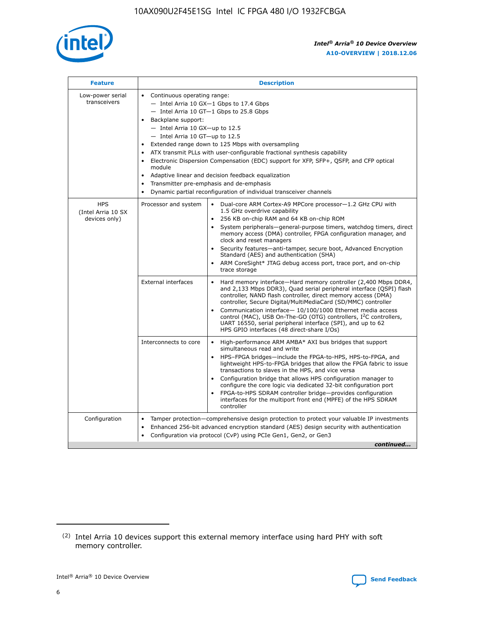

| <b>Feature</b>                                    | <b>Description</b>                                                                                                                                                                                                                                                                                                                                                                                                                                                                                                                                                                                                                         |  |  |  |  |  |  |  |
|---------------------------------------------------|--------------------------------------------------------------------------------------------------------------------------------------------------------------------------------------------------------------------------------------------------------------------------------------------------------------------------------------------------------------------------------------------------------------------------------------------------------------------------------------------------------------------------------------------------------------------------------------------------------------------------------------------|--|--|--|--|--|--|--|
| Low-power serial<br>transceivers                  | • Continuous operating range:<br>- Intel Arria 10 GX-1 Gbps to 17.4 Gbps<br>- Intel Arria 10 GT-1 Gbps to 25.8 Gbps<br>Backplane support:<br>$-$ Intel Arria 10 GX-up to 12.5<br>- Intel Arria 10 GT-up to 12.5<br>Extended range down to 125 Mbps with oversampling<br>ATX transmit PLLs with user-configurable fractional synthesis capability<br>Electronic Dispersion Compensation (EDC) support for XFP, SFP+, QSFP, and CFP optical<br>module<br>• Adaptive linear and decision feedback equalization<br>Transmitter pre-emphasis and de-emphasis<br>$\bullet$<br>Dynamic partial reconfiguration of individual transceiver channels |  |  |  |  |  |  |  |
| <b>HPS</b><br>(Intel Arria 10 SX<br>devices only) | Dual-core ARM Cortex-A9 MPCore processor-1.2 GHz CPU with<br>Processor and system<br>$\bullet$<br>1.5 GHz overdrive capability<br>256 KB on-chip RAM and 64 KB on-chip ROM<br>System peripherals-general-purpose timers, watchdog timers, direct<br>memory access (DMA) controller, FPGA configuration manager, and<br>clock and reset managers<br>Security features-anti-tamper, secure boot, Advanced Encryption<br>$\bullet$<br>Standard (AES) and authentication (SHA)<br>ARM CoreSight* JTAG debug access port, trace port, and on-chip<br>trace storage                                                                              |  |  |  |  |  |  |  |
|                                                   | <b>External interfaces</b><br>Hard memory interface-Hard memory controller (2,400 Mbps DDR4,<br>$\bullet$<br>and 2,133 Mbps DDR3), Quad serial peripheral interface (QSPI) flash<br>controller, NAND flash controller, direct memory access (DMA)<br>controller, Secure Digital/MultiMediaCard (SD/MMC) controller<br>Communication interface-10/100/1000 Ethernet media access<br>$\bullet$<br>control (MAC), USB On-The-GO (OTG) controllers, I <sup>2</sup> C controllers,<br>UART 16550, serial peripheral interface (SPI), and up to 62<br>HPS GPIO interfaces (48 direct-share I/Os)                                                 |  |  |  |  |  |  |  |
|                                                   | High-performance ARM AMBA* AXI bus bridges that support<br>Interconnects to core<br>$\bullet$<br>simultaneous read and write<br>HPS-FPGA bridges-include the FPGA-to-HPS, HPS-to-FPGA, and<br>$\bullet$<br>lightweight HPS-to-FPGA bridges that allow the FPGA fabric to issue<br>transactions to slaves in the HPS, and vice versa<br>Configuration bridge that allows HPS configuration manager to<br>configure the core logic via dedicated 32-bit configuration port<br>FPGA-to-HPS SDRAM controller bridge-provides configuration<br>interfaces for the multiport front end (MPFE) of the HPS SDRAM<br>controller                     |  |  |  |  |  |  |  |
| Configuration                                     | Tamper protection—comprehensive design protection to protect your valuable IP investments<br>Enhanced 256-bit advanced encryption standard (AES) design security with authentication<br>٠<br>Configuration via protocol (CvP) using PCIe Gen1, Gen2, or Gen3<br>continued                                                                                                                                                                                                                                                                                                                                                                  |  |  |  |  |  |  |  |

<sup>(2)</sup> Intel Arria 10 devices support this external memory interface using hard PHY with soft memory controller.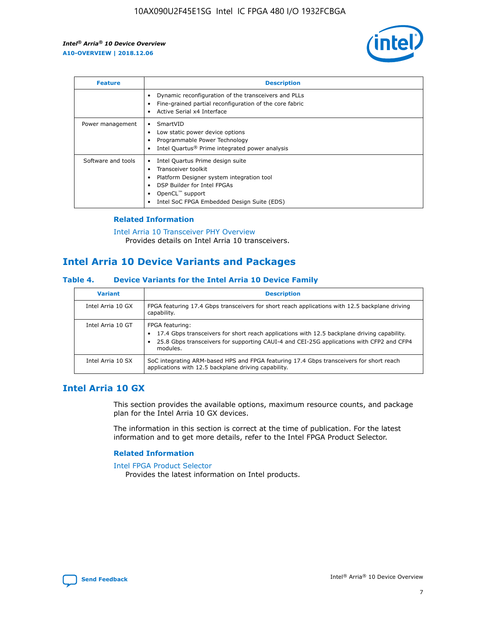

| <b>Feature</b>     | <b>Description</b>                                                                                                                                                                                               |
|--------------------|------------------------------------------------------------------------------------------------------------------------------------------------------------------------------------------------------------------|
|                    | Dynamic reconfiguration of the transceivers and PLLs<br>Fine-grained partial reconfiguration of the core fabric<br>Active Serial x4 Interface<br>$\bullet$                                                       |
| Power management   | SmartVID<br>Low static power device options<br>Programmable Power Technology<br>Intel Quartus <sup>®</sup> Prime integrated power analysis                                                                       |
| Software and tools | Intel Quartus Prime design suite<br>Transceiver toolkit<br>Platform Designer system integration tool<br>DSP Builder for Intel FPGAs<br>OpenCL <sup>™</sup> support<br>Intel SoC FPGA Embedded Design Suite (EDS) |

## **Related Information**

[Intel Arria 10 Transceiver PHY Overview](https://www.intel.com/content/www/us/en/programmable/documentation/nik1398707230472.html#nik1398706768037) Provides details on Intel Arria 10 transceivers.

# **Intel Arria 10 Device Variants and Packages**

#### **Table 4. Device Variants for the Intel Arria 10 Device Family**

| <b>Variant</b>    | <b>Description</b>                                                                                                                                                                                                     |
|-------------------|------------------------------------------------------------------------------------------------------------------------------------------------------------------------------------------------------------------------|
| Intel Arria 10 GX | FPGA featuring 17.4 Gbps transceivers for short reach applications with 12.5 backplane driving<br>capability.                                                                                                          |
| Intel Arria 10 GT | FPGA featuring:<br>17.4 Gbps transceivers for short reach applications with 12.5 backplane driving capability.<br>25.8 Gbps transceivers for supporting CAUI-4 and CEI-25G applications with CFP2 and CFP4<br>modules. |
| Intel Arria 10 SX | SoC integrating ARM-based HPS and FPGA featuring 17.4 Gbps transceivers for short reach<br>applications with 12.5 backplane driving capability.                                                                        |

# **Intel Arria 10 GX**

This section provides the available options, maximum resource counts, and package plan for the Intel Arria 10 GX devices.

The information in this section is correct at the time of publication. For the latest information and to get more details, refer to the Intel FPGA Product Selector.

### **Related Information**

#### [Intel FPGA Product Selector](http://www.altera.com/products/selector/psg-selector.html) Provides the latest information on Intel products.

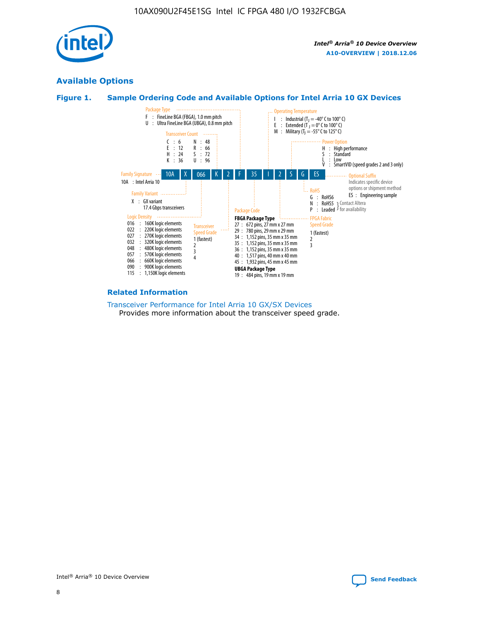

# **Available Options**





#### **Related Information**

[Transceiver Performance for Intel Arria 10 GX/SX Devices](https://www.intel.com/content/www/us/en/programmable/documentation/mcn1413182292568.html#mcn1413213965502) Provides more information about the transceiver speed grade.

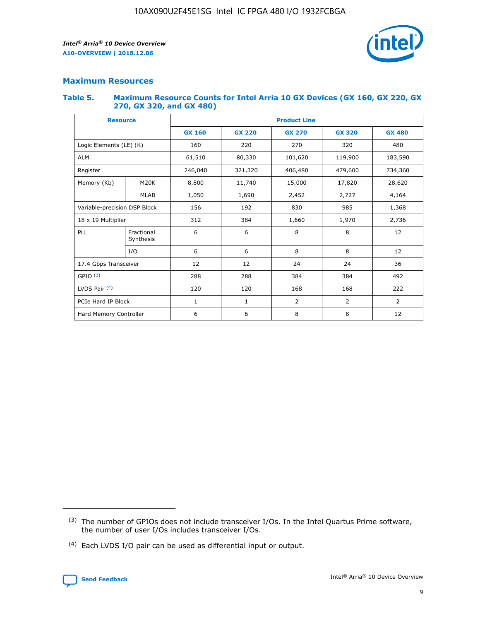

# **Maximum Resources**

#### **Table 5. Maximum Resource Counts for Intel Arria 10 GX Devices (GX 160, GX 220, GX 270, GX 320, and GX 480)**

| <b>Resource</b>              |                         | <b>Product Line</b> |                    |                |                |                |  |  |
|------------------------------|-------------------------|---------------------|--------------------|----------------|----------------|----------------|--|--|
|                              |                         | <b>GX 160</b>       | <b>GX 220</b>      | <b>GX 270</b>  | <b>GX 320</b>  | <b>GX 480</b>  |  |  |
| Logic Elements (LE) (K)      |                         | 160                 | 220                | 270            | 320            | 480            |  |  |
| <b>ALM</b>                   |                         | 61,510              | 80,330             | 101,620        | 119,900        | 183,590        |  |  |
| Register                     |                         | 246,040             | 406,480<br>321,320 |                | 479,600        | 734,360        |  |  |
| Memory (Kb)                  | M <sub>20</sub> K       | 8,800               | 11,740             | 15,000         | 17,820         | 28,620         |  |  |
|                              | <b>MLAB</b>             | 1,050               | 1,690              | 2,452          | 2,727          | 4,164          |  |  |
| Variable-precision DSP Block |                         | 156                 | 192                | 830            | 985            | 1,368          |  |  |
| 18 x 19 Multiplier           |                         | 312                 | 384                | 1,970<br>1,660 |                | 2,736          |  |  |
| PLL                          | Fractional<br>Synthesis | 6                   | 6                  | 8              | 8              | 12             |  |  |
|                              | I/O                     | 6                   | 6                  | 8              | 8              | 12             |  |  |
| 17.4 Gbps Transceiver        |                         | 12                  | 12                 | 24             | 24             | 36             |  |  |
| GPIO <sup>(3)</sup>          |                         | 288                 | 288                | 384            | 384            | 492            |  |  |
| LVDS Pair $(4)$              |                         | 120                 | 120                | 168            | 168            | 222            |  |  |
| PCIe Hard IP Block           |                         | 1                   | 1                  | 2              | $\overline{2}$ | $\overline{2}$ |  |  |
| Hard Memory Controller       |                         | 6                   | 6                  | 8              | 8              | 12             |  |  |

<sup>(4)</sup> Each LVDS I/O pair can be used as differential input or output.



<sup>(3)</sup> The number of GPIOs does not include transceiver I/Os. In the Intel Quartus Prime software, the number of user I/Os includes transceiver I/Os.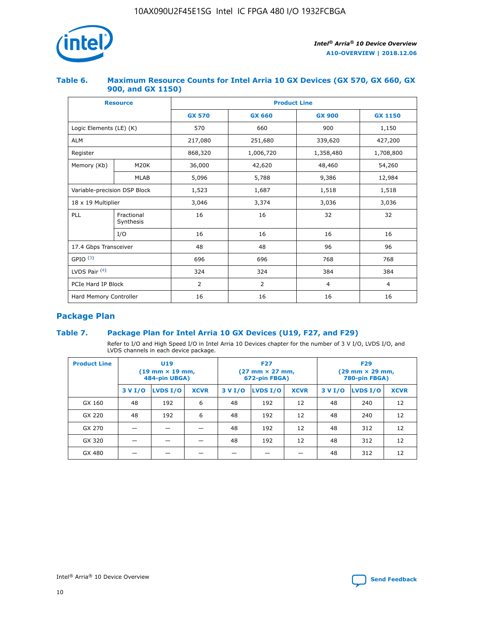

## **Table 6. Maximum Resource Counts for Intel Arria 10 GX Devices (GX 570, GX 660, GX 900, and GX 1150)**

|                              | <b>Resource</b>         | <b>Product Line</b> |                |                |                |  |  |  |
|------------------------------|-------------------------|---------------------|----------------|----------------|----------------|--|--|--|
|                              |                         | <b>GX 570</b>       | <b>GX 660</b>  | <b>GX 900</b>  | <b>GX 1150</b> |  |  |  |
| Logic Elements (LE) (K)      |                         | 570                 | 660            | 900            | 1,150          |  |  |  |
| <b>ALM</b>                   |                         | 217,080             | 251,680        | 339,620        | 427,200        |  |  |  |
| Register                     |                         | 868,320             | 1,006,720      | 1,358,480      | 1,708,800      |  |  |  |
| Memory (Kb)                  | <b>M20K</b>             | 36,000              | 42,620         | 48,460         | 54,260         |  |  |  |
|                              | <b>MLAB</b>             | 5,096               | 5,788          | 9,386          | 12,984         |  |  |  |
| Variable-precision DSP Block |                         | 1,523               | 1,687          | 1,518          | 1,518          |  |  |  |
| 18 x 19 Multiplier           |                         | 3,046               | 3,374          | 3,036          | 3,036          |  |  |  |
| PLL                          | Fractional<br>Synthesis | 16                  | 16             | 32             | 32             |  |  |  |
|                              | I/O                     | 16                  | 16             | 16             | 16             |  |  |  |
| 17.4 Gbps Transceiver        |                         | 48                  | 48             |                | 96             |  |  |  |
| GPIO <sup>(3)</sup>          |                         | 696                 | 696            | 768            | 768            |  |  |  |
| LVDS Pair $(4)$              |                         | 324                 | 324            | 384            | 384            |  |  |  |
| PCIe Hard IP Block           |                         | 2                   | $\overline{2}$ | $\overline{4}$ | $\overline{4}$ |  |  |  |
| Hard Memory Controller       |                         | 16                  | 16             | 16             | 16             |  |  |  |

# **Package Plan**

# **Table 7. Package Plan for Intel Arria 10 GX Devices (U19, F27, and F29)**

Refer to I/O and High Speed I/O in Intel Arria 10 Devices chapter for the number of 3 V I/O, LVDS I/O, and LVDS channels in each device package.

| <b>Product Line</b> | U <sub>19</sub><br>$(19 \text{ mm} \times 19 \text{ mm})$<br>484-pin UBGA) |          |             |         | <b>F27</b><br>(27 mm × 27 mm,<br>672-pin FBGA) |             | <b>F29</b><br>(29 mm × 29 mm,<br>780-pin FBGA) |          |             |  |
|---------------------|----------------------------------------------------------------------------|----------|-------------|---------|------------------------------------------------|-------------|------------------------------------------------|----------|-------------|--|
|                     | 3 V I/O                                                                    | LVDS I/O | <b>XCVR</b> | 3 V I/O | <b>LVDS I/O</b>                                | <b>XCVR</b> | 3 V I/O                                        | LVDS I/O | <b>XCVR</b> |  |
| GX 160              | 48                                                                         | 192      | 6           | 48      | 192                                            | 12          | 48                                             | 240      | 12          |  |
| GX 220              | 48                                                                         | 192      | 6           | 48      | 192                                            | 12          | 48                                             | 240      | 12          |  |
| GX 270              |                                                                            |          |             | 48      | 192                                            | 12          | 48                                             | 312      | 12          |  |
| GX 320              |                                                                            |          |             | 48      | 192                                            | 12          | 48                                             | 312      | 12          |  |
| GX 480              |                                                                            |          |             |         |                                                |             | 48                                             | 312      | 12          |  |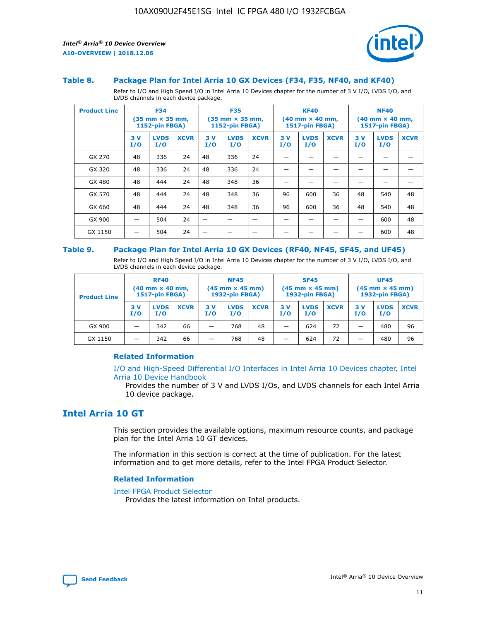

#### **Table 8. Package Plan for Intel Arria 10 GX Devices (F34, F35, NF40, and KF40)**

Refer to I/O and High Speed I/O in Intel Arria 10 Devices chapter for the number of 3 V I/O, LVDS I/O, and LVDS channels in each device package.

| <b>Product Line</b> | <b>F34</b><br>$(35 \text{ mm} \times 35 \text{ mm})$<br>1152-pin FBGA) |                    | <b>F35</b><br>$(35 \text{ mm} \times 35 \text{ mm})$<br><b>1152-pin FBGA)</b> |           | <b>KF40</b><br>$(40$ mm $\times$ 40 mm,<br>1517-pin FBGA) |             |           | <b>NF40</b><br>$(40$ mm $\times$ 40 mm,<br><b>1517-pin FBGA)</b> |             |            |                    |             |
|---------------------|------------------------------------------------------------------------|--------------------|-------------------------------------------------------------------------------|-----------|-----------------------------------------------------------|-------------|-----------|------------------------------------------------------------------|-------------|------------|--------------------|-------------|
|                     | 3V<br>I/O                                                              | <b>LVDS</b><br>I/O | <b>XCVR</b>                                                                   | 3V<br>I/O | <b>LVDS</b><br>I/O                                        | <b>XCVR</b> | 3V<br>I/O | <b>LVDS</b><br>I/O                                               | <b>XCVR</b> | 3 V<br>I/O | <b>LVDS</b><br>I/O | <b>XCVR</b> |
| GX 270              | 48                                                                     | 336                | 24                                                                            | 48        | 336                                                       | 24          |           |                                                                  |             |            |                    |             |
| GX 320              | 48                                                                     | 336                | 24                                                                            | 48        | 336                                                       | 24          |           |                                                                  |             |            |                    |             |
| GX 480              | 48                                                                     | 444                | 24                                                                            | 48        | 348                                                       | 36          |           |                                                                  |             |            |                    |             |
| GX 570              | 48                                                                     | 444                | 24                                                                            | 48        | 348                                                       | 36          | 96        | 600                                                              | 36          | 48         | 540                | 48          |
| GX 660              | 48                                                                     | 444                | 24                                                                            | 48        | 348                                                       | 36          | 96        | 600                                                              | 36          | 48         | 540                | 48          |
| GX 900              |                                                                        | 504                | 24                                                                            | -         |                                                           |             |           |                                                                  |             |            | 600                | 48          |
| GX 1150             |                                                                        | 504                | 24                                                                            |           |                                                           |             |           |                                                                  |             |            | 600                | 48          |

#### **Table 9. Package Plan for Intel Arria 10 GX Devices (RF40, NF45, SF45, and UF45)**

Refer to I/O and High Speed I/O in Intel Arria 10 Devices chapter for the number of 3 V I/O, LVDS I/O, and LVDS channels in each device package.

| <b>Product Line</b> | <b>RF40</b><br>$(40$ mm $\times$ 40 mm,<br>1517-pin FBGA) |                    |             | <b>NF45</b><br>$(45 \text{ mm} \times 45 \text{ mm})$<br><b>1932-pin FBGA)</b> |                    |             | <b>SF45</b><br>$(45 \text{ mm} \times 45 \text{ mm})$<br><b>1932-pin FBGA)</b> |                    |             | <b>UF45</b><br>$(45 \text{ mm} \times 45 \text{ mm})$<br><b>1932-pin FBGA)</b> |                    |             |
|---------------------|-----------------------------------------------------------|--------------------|-------------|--------------------------------------------------------------------------------|--------------------|-------------|--------------------------------------------------------------------------------|--------------------|-------------|--------------------------------------------------------------------------------|--------------------|-------------|
|                     | 3V<br>I/O                                                 | <b>LVDS</b><br>I/O | <b>XCVR</b> | 3 V<br>I/O                                                                     | <b>LVDS</b><br>I/O | <b>XCVR</b> | 3 V<br>I/O                                                                     | <b>LVDS</b><br>I/O | <b>XCVR</b> | 3V<br>I/O                                                                      | <b>LVDS</b><br>I/O | <b>XCVR</b> |
| GX 900              |                                                           | 342                | 66          | _                                                                              | 768                | 48          |                                                                                | 624                | 72          |                                                                                | 480                | 96          |
| GX 1150             |                                                           | 342                | 66          | _                                                                              | 768                | 48          |                                                                                | 624                | 72          |                                                                                | 480                | 96          |

### **Related Information**

[I/O and High-Speed Differential I/O Interfaces in Intel Arria 10 Devices chapter, Intel](https://www.intel.com/content/www/us/en/programmable/documentation/sam1403482614086.html#sam1403482030321) [Arria 10 Device Handbook](https://www.intel.com/content/www/us/en/programmable/documentation/sam1403482614086.html#sam1403482030321)

Provides the number of 3 V and LVDS I/Os, and LVDS channels for each Intel Arria 10 device package.

# **Intel Arria 10 GT**

This section provides the available options, maximum resource counts, and package plan for the Intel Arria 10 GT devices.

The information in this section is correct at the time of publication. For the latest information and to get more details, refer to the Intel FPGA Product Selector.

#### **Related Information**

#### [Intel FPGA Product Selector](http://www.altera.com/products/selector/psg-selector.html)

Provides the latest information on Intel products.

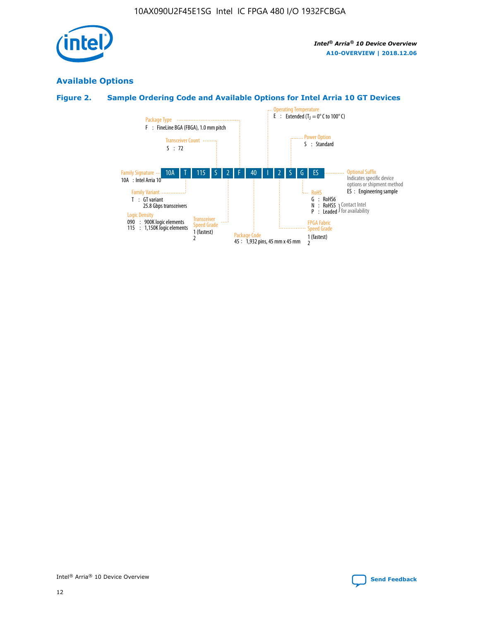

# **Available Options**

# **Figure 2. Sample Ordering Code and Available Options for Intel Arria 10 GT Devices**

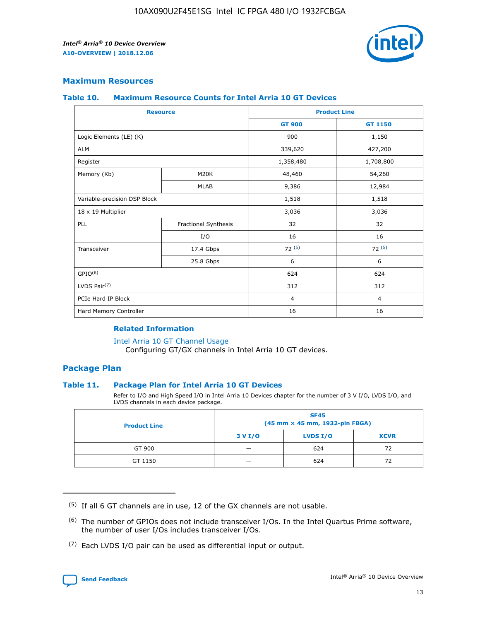

# **Maximum Resources**

#### **Table 10. Maximum Resource Counts for Intel Arria 10 GT Devices**

| <b>Resource</b>              |                      | <b>Product Line</b> |                |  |
|------------------------------|----------------------|---------------------|----------------|--|
|                              |                      | <b>GT 900</b>       | <b>GT 1150</b> |  |
| Logic Elements (LE) (K)      |                      | 900                 | 1,150          |  |
| <b>ALM</b>                   |                      | 339,620             | 427,200        |  |
| Register                     |                      | 1,358,480           | 1,708,800      |  |
| Memory (Kb)                  | M20K                 | 48,460              | 54,260         |  |
|                              | <b>MLAB</b>          | 9,386               | 12,984         |  |
| Variable-precision DSP Block |                      | 1,518               | 1,518          |  |
| 18 x 19 Multiplier           |                      | 3,036               | 3,036          |  |
| PLL                          | Fractional Synthesis | 32                  | 32             |  |
|                              | I/O                  | 16                  | 16             |  |
| Transceiver                  | 17.4 Gbps            | 72(5)               | 72(5)          |  |
|                              | 25.8 Gbps            | 6                   | 6              |  |
| GPIO <sup>(6)</sup>          |                      | 624                 | 624            |  |
| LVDS Pair $(7)$              |                      | 312                 | 312            |  |
| PCIe Hard IP Block           |                      | $\overline{4}$      | $\overline{4}$ |  |
| Hard Memory Controller       |                      | 16                  | 16             |  |

### **Related Information**

#### [Intel Arria 10 GT Channel Usage](https://www.intel.com/content/www/us/en/programmable/documentation/nik1398707230472.html#nik1398707008178)

Configuring GT/GX channels in Intel Arria 10 GT devices.

## **Package Plan**

#### **Table 11. Package Plan for Intel Arria 10 GT Devices**

Refer to I/O and High Speed I/O in Intel Arria 10 Devices chapter for the number of 3 V I/O, LVDS I/O, and LVDS channels in each device package.

| <b>Product Line</b> | <b>SF45</b><br>(45 mm × 45 mm, 1932-pin FBGA) |                 |             |  |  |  |
|---------------------|-----------------------------------------------|-----------------|-------------|--|--|--|
|                     | 3 V I/O                                       | <b>LVDS I/O</b> | <b>XCVR</b> |  |  |  |
| GT 900              |                                               | 624             | 72          |  |  |  |
| GT 1150             |                                               | 624             | 72          |  |  |  |

<sup>(7)</sup> Each LVDS I/O pair can be used as differential input or output.



 $(5)$  If all 6 GT channels are in use, 12 of the GX channels are not usable.

<sup>(6)</sup> The number of GPIOs does not include transceiver I/Os. In the Intel Quartus Prime software, the number of user I/Os includes transceiver I/Os.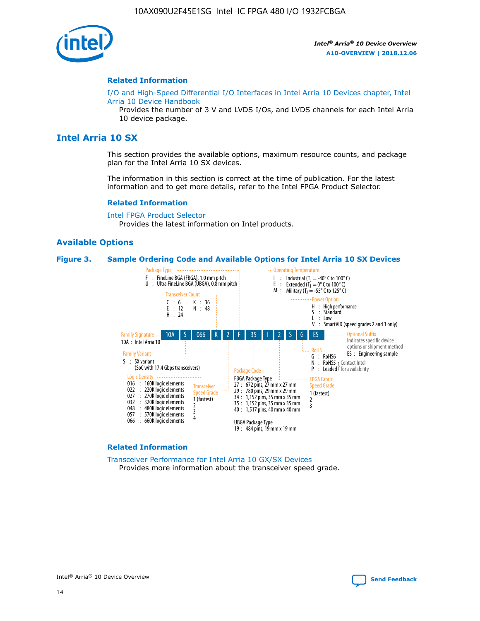

#### **Related Information**

[I/O and High-Speed Differential I/O Interfaces in Intel Arria 10 Devices chapter, Intel](https://www.intel.com/content/www/us/en/programmable/documentation/sam1403482614086.html#sam1403482030321) [Arria 10 Device Handbook](https://www.intel.com/content/www/us/en/programmable/documentation/sam1403482614086.html#sam1403482030321)

Provides the number of 3 V and LVDS I/Os, and LVDS channels for each Intel Arria 10 device package.

# **Intel Arria 10 SX**

This section provides the available options, maximum resource counts, and package plan for the Intel Arria 10 SX devices.

The information in this section is correct at the time of publication. For the latest information and to get more details, refer to the Intel FPGA Product Selector.

#### **Related Information**

[Intel FPGA Product Selector](http://www.altera.com/products/selector/psg-selector.html) Provides the latest information on Intel products.

#### **Available Options**

#### **Figure 3. Sample Ordering Code and Available Options for Intel Arria 10 SX Devices**



#### **Related Information**

[Transceiver Performance for Intel Arria 10 GX/SX Devices](https://www.intel.com/content/www/us/en/programmable/documentation/mcn1413182292568.html#mcn1413213965502) Provides more information about the transceiver speed grade.

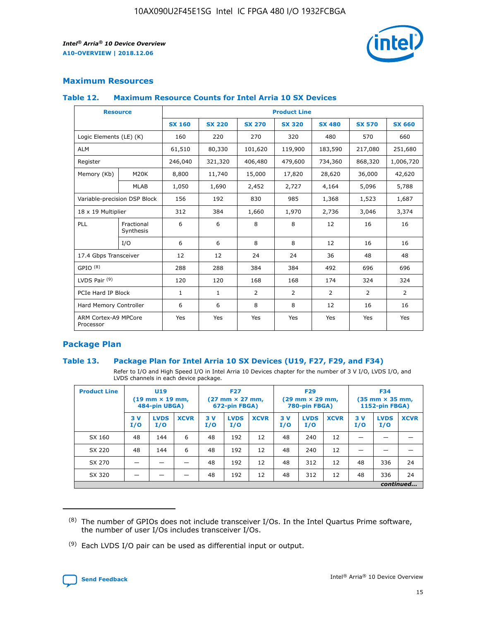

# **Maximum Resources**

#### **Table 12. Maximum Resource Counts for Intel Arria 10 SX Devices**

|                                   | <b>Resource</b>         | <b>Product Line</b> |               |                |                |                |                |                |  |  |  |
|-----------------------------------|-------------------------|---------------------|---------------|----------------|----------------|----------------|----------------|----------------|--|--|--|
|                                   |                         | <b>SX 160</b>       | <b>SX 220</b> | <b>SX 270</b>  | <b>SX 320</b>  | <b>SX 480</b>  | <b>SX 570</b>  | <b>SX 660</b>  |  |  |  |
| Logic Elements (LE) (K)           |                         | 160                 | 220           | 270            | 320            | 480            | 570            | 660            |  |  |  |
| <b>ALM</b>                        |                         | 61,510              | 80,330        | 101,620        | 119,900        | 183,590        | 217,080        | 251,680        |  |  |  |
| Register                          |                         | 246,040             | 321,320       | 406,480        | 479,600        | 734,360        | 868,320        | 1,006,720      |  |  |  |
| Memory (Kb)                       | M <sub>20</sub> K       | 8,800               | 11,740        | 15,000         | 17,820         | 28,620         | 36,000         | 42,620         |  |  |  |
|                                   | <b>MLAB</b>             | 1,050               | 1,690         | 2,452          | 2,727          | 4,164          | 5,096          | 5,788          |  |  |  |
| Variable-precision DSP Block      |                         | 156                 | 192           | 830            | 985            | 1,368          | 1,523          | 1,687          |  |  |  |
|                                   | 18 x 19 Multiplier      |                     | 384           | 1,660          | 1,970          | 2,736          | 3,046          | 3,374          |  |  |  |
| <b>PLL</b>                        | Fractional<br>Synthesis | 6                   | 6             | 8              | 8              | 12             | 16             | 16             |  |  |  |
|                                   | I/O                     | 6                   | 6             | 8              | 8              | 12             | 16             | 16             |  |  |  |
| 17.4 Gbps Transceiver             |                         | 12                  | 12            | 24             | 24             | 36             | 48             | 48             |  |  |  |
| GPIO <sup>(8)</sup>               |                         | 288                 | 288           | 384            | 384            | 492            | 696            | 696            |  |  |  |
| LVDS Pair $(9)$                   |                         | 120                 | 120           | 168            | 168            | 174            | 324            | 324            |  |  |  |
| PCIe Hard IP Block                |                         | $\mathbf{1}$        | $\mathbf{1}$  | $\overline{2}$ | $\overline{2}$ | $\overline{2}$ | $\overline{2}$ | $\overline{2}$ |  |  |  |
| Hard Memory Controller            |                         | 6                   | 6             | 8              | 8              | 12             | 16             | 16             |  |  |  |
| ARM Cortex-A9 MPCore<br>Processor |                         | Yes                 | Yes           | Yes            | Yes            | Yes            | Yes            | Yes            |  |  |  |

# **Package Plan**

#### **Table 13. Package Plan for Intel Arria 10 SX Devices (U19, F27, F29, and F34)**

Refer to I/O and High Speed I/O in Intel Arria 10 Devices chapter for the number of 3 V I/O, LVDS I/O, and LVDS channels in each device package.

| <b>Product Line</b> | U19<br>$(19 \text{ mm} \times 19 \text{ mm})$<br>484-pin UBGA) |                    |             | <b>F27</b><br>$(27 \text{ mm} \times 27 \text{ mm})$ .<br>672-pin FBGA) |                    | <b>F29</b><br>$(29 \text{ mm} \times 29 \text{ mm})$ .<br>780-pin FBGA) |            |                    | <b>F34</b><br>$(35 \text{ mm} \times 35 \text{ mm})$<br><b>1152-pin FBGA)</b> |           |                    |             |
|---------------------|----------------------------------------------------------------|--------------------|-------------|-------------------------------------------------------------------------|--------------------|-------------------------------------------------------------------------|------------|--------------------|-------------------------------------------------------------------------------|-----------|--------------------|-------------|
|                     | 3V<br>I/O                                                      | <b>LVDS</b><br>I/O | <b>XCVR</b> | 3V<br>I/O                                                               | <b>LVDS</b><br>I/O | <b>XCVR</b>                                                             | 3 V<br>I/O | <b>LVDS</b><br>I/O | <b>XCVR</b>                                                                   | 3V<br>I/O | <b>LVDS</b><br>I/O | <b>XCVR</b> |
| SX 160              | 48                                                             | 144                | 6           | 48                                                                      | 192                | 12                                                                      | 48         | 240                | 12                                                                            |           |                    |             |
| SX 220              | 48                                                             | 144                | 6           | 48                                                                      | 192                | 12                                                                      | 48         | 240                | 12                                                                            |           |                    |             |
| SX 270              |                                                                |                    |             | 48                                                                      | 192                | 12                                                                      | 48         | 312                | 12                                                                            | 48        | 336                | 24          |
| SX 320              |                                                                |                    |             | 48                                                                      | 192                | 12                                                                      | 48         | 312                | 12                                                                            | 48        | 336                | 24          |
|                     | continued                                                      |                    |             |                                                                         |                    |                                                                         |            |                    |                                                                               |           |                    |             |

 $(8)$  The number of GPIOs does not include transceiver I/Os. In the Intel Quartus Prime software, the number of user I/Os includes transceiver I/Os.

 $(9)$  Each LVDS I/O pair can be used as differential input or output.

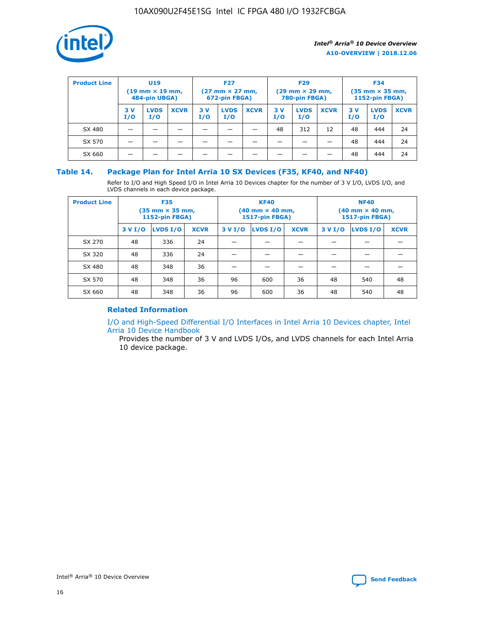

| <b>Product Line</b> | U <sub>19</sub><br>$(19 \text{ mm} \times 19 \text{ mm})$<br>484-pin UBGA) |                    | <b>F27</b><br>$(27 \text{ mm} \times 27 \text{ mm})$<br>672-pin FBGA) |           | <b>F29</b><br>$(29$ mm $\times$ 29 mm,<br>780-pin FBGA) |             |           | <b>F34</b><br>$(35$ mm $\times$ 35 mm,<br><b>1152-pin FBGA)</b> |             |            |                    |             |
|---------------------|----------------------------------------------------------------------------|--------------------|-----------------------------------------------------------------------|-----------|---------------------------------------------------------|-------------|-----------|-----------------------------------------------------------------|-------------|------------|--------------------|-------------|
|                     | 3 V<br>I/O                                                                 | <b>LVDS</b><br>I/O | <b>XCVR</b>                                                           | 3V<br>I/O | <b>LVDS</b><br>I/O                                      | <b>XCVR</b> | 3V<br>I/O | <b>LVDS</b><br>I/O                                              | <b>XCVR</b> | 3 V<br>I/O | <b>LVDS</b><br>I/O | <b>XCVR</b> |
| SX 480              |                                                                            |                    |                                                                       |           |                                                         |             | 48        | 312                                                             | 12          | 48         | 444                | 24          |
| SX 570              |                                                                            |                    |                                                                       |           |                                                         |             |           |                                                                 |             | 48         | 444                | 24          |
| SX 660              |                                                                            |                    |                                                                       |           |                                                         |             |           |                                                                 |             | 48         | 444                | 24          |

## **Table 14. Package Plan for Intel Arria 10 SX Devices (F35, KF40, and NF40)**

Refer to I/O and High Speed I/O in Intel Arria 10 Devices chapter for the number of 3 V I/O, LVDS I/O, and LVDS channels in each device package.

| <b>Product Line</b> | <b>F35</b><br>$(35$ mm $\times$ 35 mm,<br><b>1152-pin FBGA)</b> |          |             |                                           | <b>KF40</b><br>(40 mm × 40 mm,<br>1517-pin FBGA) |    | <b>NF40</b><br>(40 mm × 40 mm,<br>1517-pin FBGA) |          |             |  |
|---------------------|-----------------------------------------------------------------|----------|-------------|-------------------------------------------|--------------------------------------------------|----|--------------------------------------------------|----------|-------------|--|
|                     | 3 V I/O                                                         | LVDS I/O | <b>XCVR</b> | <b>LVDS I/O</b><br><b>XCVR</b><br>3 V I/O |                                                  |    | 3 V I/O                                          | LVDS I/O | <b>XCVR</b> |  |
| SX 270              | 48                                                              | 336      | 24          |                                           |                                                  |    |                                                  |          |             |  |
| SX 320              | 48                                                              | 336      | 24          |                                           |                                                  |    |                                                  |          |             |  |
| SX 480              | 48                                                              | 348      | 36          |                                           |                                                  |    |                                                  |          |             |  |
| SX 570              | 48                                                              | 348      | 36          | 96                                        | 600                                              | 36 | 48                                               | 540      | 48          |  |
| SX 660              | 48                                                              | 348      | 36          | 96                                        | 600                                              | 36 | 48                                               | 540      | 48          |  |

# **Related Information**

[I/O and High-Speed Differential I/O Interfaces in Intel Arria 10 Devices chapter, Intel](https://www.intel.com/content/www/us/en/programmable/documentation/sam1403482614086.html#sam1403482030321) [Arria 10 Device Handbook](https://www.intel.com/content/www/us/en/programmable/documentation/sam1403482614086.html#sam1403482030321)

Provides the number of 3 V and LVDS I/Os, and LVDS channels for each Intel Arria 10 device package.

Intel<sup>®</sup> Arria<sup>®</sup> 10 Device Overview **[Send Feedback](mailto:FPGAtechdocfeedback@intel.com?subject=Feedback%20on%20Intel%20Arria%2010%20Device%20Overview%20(A10-OVERVIEW%202018.12.06)&body=We%20appreciate%20your%20feedback.%20In%20your%20comments,%20also%20specify%20the%20page%20number%20or%20paragraph.%20Thank%20you.)** Send Feedback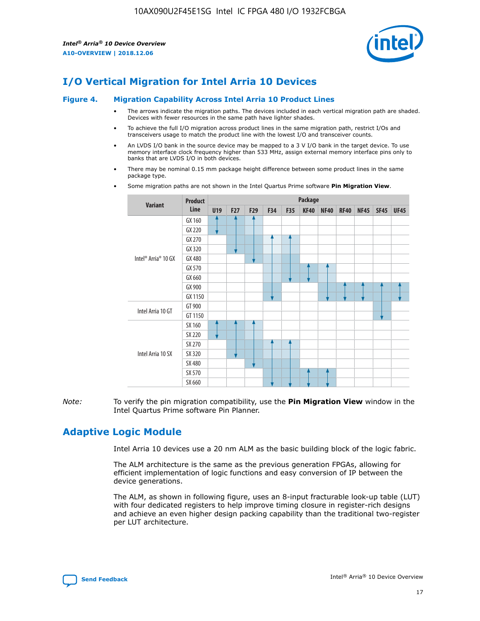

# **I/O Vertical Migration for Intel Arria 10 Devices**

#### **Figure 4. Migration Capability Across Intel Arria 10 Product Lines**

- The arrows indicate the migration paths. The devices included in each vertical migration path are shaded. Devices with fewer resources in the same path have lighter shades.
- To achieve the full I/O migration across product lines in the same migration path, restrict I/Os and transceivers usage to match the product line with the lowest I/O and transceiver counts.
- An LVDS I/O bank in the source device may be mapped to a 3 V I/O bank in the target device. To use memory interface clock frequency higher than 533 MHz, assign external memory interface pins only to banks that are LVDS I/O in both devices.
- There may be nominal 0.15 mm package height difference between some product lines in the same package type.
	- **Variant Product Line Package U19 F27 F29 F34 F35 KF40 NF40 RF40 NF45 SF45 UF45** Intel® Arria® 10 GX GX 160 GX 220 GX 270 GX 320 GX 480 GX 570 GX 660 GX 900 GX 1150 Intel Arria 10 GT GT 900 GT 1150 Intel Arria 10 SX SX 160 SX 220 SX 270 SX 320 SX 480 SX 570 SX 660
- Some migration paths are not shown in the Intel Quartus Prime software **Pin Migration View**.

*Note:* To verify the pin migration compatibility, use the **Pin Migration View** window in the Intel Quartus Prime software Pin Planner.

# **Adaptive Logic Module**

Intel Arria 10 devices use a 20 nm ALM as the basic building block of the logic fabric.

The ALM architecture is the same as the previous generation FPGAs, allowing for efficient implementation of logic functions and easy conversion of IP between the device generations.

The ALM, as shown in following figure, uses an 8-input fracturable look-up table (LUT) with four dedicated registers to help improve timing closure in register-rich designs and achieve an even higher design packing capability than the traditional two-register per LUT architecture.

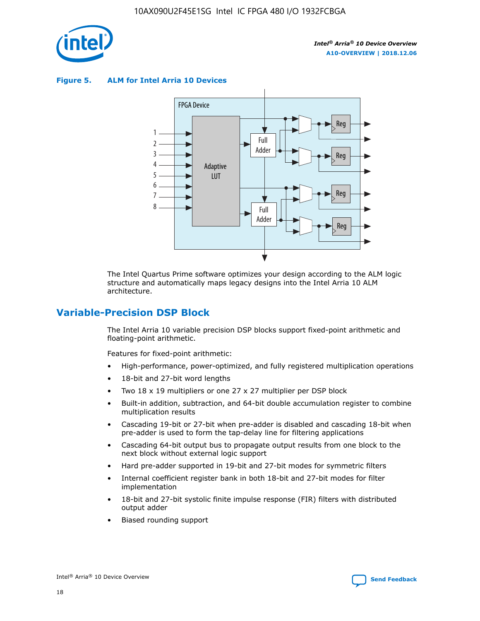

**Figure 5. ALM for Intel Arria 10 Devices**



The Intel Quartus Prime software optimizes your design according to the ALM logic structure and automatically maps legacy designs into the Intel Arria 10 ALM architecture.

# **Variable-Precision DSP Block**

The Intel Arria 10 variable precision DSP blocks support fixed-point arithmetic and floating-point arithmetic.

Features for fixed-point arithmetic:

- High-performance, power-optimized, and fully registered multiplication operations
- 18-bit and 27-bit word lengths
- Two 18 x 19 multipliers or one 27 x 27 multiplier per DSP block
- Built-in addition, subtraction, and 64-bit double accumulation register to combine multiplication results
- Cascading 19-bit or 27-bit when pre-adder is disabled and cascading 18-bit when pre-adder is used to form the tap-delay line for filtering applications
- Cascading 64-bit output bus to propagate output results from one block to the next block without external logic support
- Hard pre-adder supported in 19-bit and 27-bit modes for symmetric filters
- Internal coefficient register bank in both 18-bit and 27-bit modes for filter implementation
- 18-bit and 27-bit systolic finite impulse response (FIR) filters with distributed output adder
- Biased rounding support

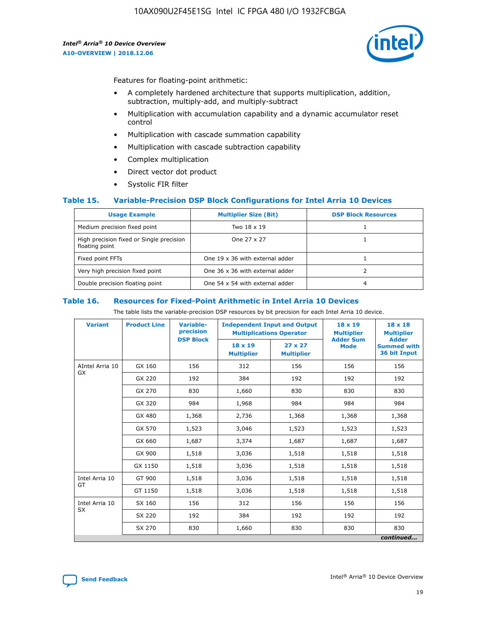

Features for floating-point arithmetic:

- A completely hardened architecture that supports multiplication, addition, subtraction, multiply-add, and multiply-subtract
- Multiplication with accumulation capability and a dynamic accumulator reset control
- Multiplication with cascade summation capability
- Multiplication with cascade subtraction capability
- Complex multiplication
- Direct vector dot product
- Systolic FIR filter

#### **Table 15. Variable-Precision DSP Block Configurations for Intel Arria 10 Devices**

| <b>Usage Example</b>                                       | <b>Multiplier Size (Bit)</b>    | <b>DSP Block Resources</b> |
|------------------------------------------------------------|---------------------------------|----------------------------|
| Medium precision fixed point                               | Two 18 x 19                     |                            |
| High precision fixed or Single precision<br>floating point | One 27 x 27                     |                            |
| Fixed point FFTs                                           | One 19 x 36 with external adder |                            |
| Very high precision fixed point                            | One 36 x 36 with external adder |                            |
| Double precision floating point                            | One 54 x 54 with external adder | 4                          |

#### **Table 16. Resources for Fixed-Point Arithmetic in Intel Arria 10 Devices**

The table lists the variable-precision DSP resources by bit precision for each Intel Arria 10 device.

| <b>Variant</b>  | <b>Product Line</b> | <b>Variable-</b><br>precision<br><b>DSP Block</b> | <b>Independent Input and Output</b><br><b>Multiplications Operator</b> |                                     | 18 x 19<br><b>Multiplier</b><br><b>Adder Sum</b> | $18 \times 18$<br><b>Multiplier</b><br><b>Adder</b> |
|-----------------|---------------------|---------------------------------------------------|------------------------------------------------------------------------|-------------------------------------|--------------------------------------------------|-----------------------------------------------------|
|                 |                     |                                                   | 18 x 19<br><b>Multiplier</b>                                           | $27 \times 27$<br><b>Multiplier</b> | <b>Mode</b>                                      | <b>Summed with</b><br>36 bit Input                  |
| AIntel Arria 10 | GX 160              | 156                                               | 312                                                                    | 156                                 | 156                                              | 156                                                 |
| GX              | GX 220              | 192                                               | 384                                                                    | 192                                 | 192                                              | 192                                                 |
|                 | GX 270              | 830                                               | 1,660                                                                  | 830                                 | 830                                              | 830                                                 |
|                 | GX 320              | 984                                               | 1,968                                                                  | 984                                 | 984                                              | 984                                                 |
|                 | GX 480              | 1,368                                             | 2,736                                                                  | 1,368                               | 1,368                                            | 1,368                                               |
|                 | GX 570              | 1,523                                             | 3,046                                                                  | 1,523                               | 1,523                                            | 1,523                                               |
|                 | GX 660              | 1,687                                             | 3,374                                                                  | 1,687                               | 1,687                                            | 1,687                                               |
|                 | GX 900              | 1,518                                             | 3,036                                                                  | 1,518                               | 1,518                                            | 1,518                                               |
|                 | GX 1150             | 1,518                                             | 3,036                                                                  | 1,518                               | 1,518                                            | 1,518                                               |
| Intel Arria 10  | GT 900              | 1,518                                             | 3,036                                                                  | 1,518                               | 1,518                                            | 1,518                                               |
| GT              | GT 1150             | 1,518                                             | 3,036                                                                  | 1,518                               | 1,518                                            | 1,518                                               |
| Intel Arria 10  | SX 160              | 156                                               | 312                                                                    | 156                                 | 156                                              | 156                                                 |
| <b>SX</b>       | SX 220              | 192                                               | 384                                                                    | 192                                 | 192                                              | 192                                                 |
|                 | SX 270              | 830                                               | 1,660                                                                  | 830                                 | 830                                              | 830                                                 |
|                 |                     |                                                   |                                                                        |                                     |                                                  | continued                                           |

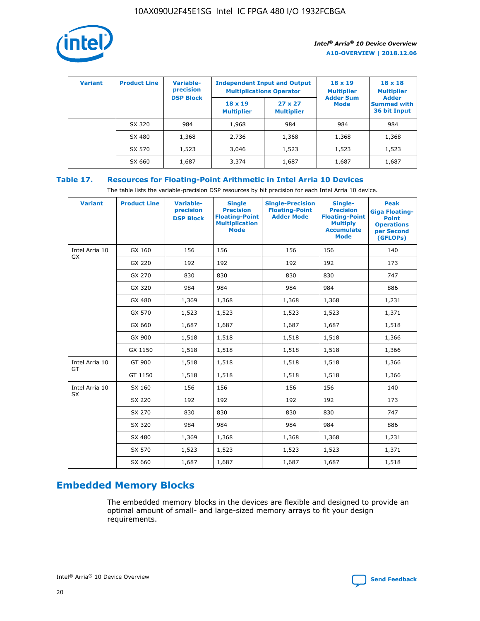

| <b>Variant</b> | <b>Product Line</b> | Variable-<br>precision | <b>Independent Input and Output</b><br><b>Multiplications Operator</b> |                                     | $18 \times 19$<br><b>Multiplier</b> | $18 \times 18$<br><b>Multiplier</b><br><b>Adder</b> |  |
|----------------|---------------------|------------------------|------------------------------------------------------------------------|-------------------------------------|-------------------------------------|-----------------------------------------------------|--|
|                |                     | <b>DSP Block</b>       | $18 \times 19$<br><b>Multiplier</b>                                    | $27 \times 27$<br><b>Multiplier</b> | <b>Adder Sum</b><br><b>Mode</b>     | <b>Summed with</b><br>36 bit Input                  |  |
|                | SX 320              | 984                    | 1,968                                                                  | 984                                 | 984                                 | 984                                                 |  |
|                | SX 480              | 1,368                  | 2,736                                                                  | 1,368                               | 1,368                               | 1,368                                               |  |
|                | SX 570              | 1,523                  | 3,046                                                                  | 1,523                               | 1,523                               | 1,523                                               |  |
|                | SX 660              | 1,687                  | 3,374                                                                  | 1,687                               | 1,687                               | 1,687                                               |  |

# **Table 17. Resources for Floating-Point Arithmetic in Intel Arria 10 Devices**

The table lists the variable-precision DSP resources by bit precision for each Intel Arria 10 device.

| <b>Variant</b> | <b>Product Line</b> | <b>Variable-</b><br>precision<br><b>DSP Block</b> | <b>Single</b><br><b>Precision</b><br><b>Floating-Point</b><br><b>Multiplication</b><br><b>Mode</b> | <b>Single-Precision</b><br><b>Floating-Point</b><br><b>Adder Mode</b> | Single-<br><b>Precision</b><br><b>Floating-Point</b><br><b>Multiply</b><br><b>Accumulate</b><br><b>Mode</b> | <b>Peak</b><br><b>Giga Floating-</b><br><b>Point</b><br><b>Operations</b><br>per Second<br>(GFLOPs) |
|----------------|---------------------|---------------------------------------------------|----------------------------------------------------------------------------------------------------|-----------------------------------------------------------------------|-------------------------------------------------------------------------------------------------------------|-----------------------------------------------------------------------------------------------------|
| Intel Arria 10 | GX 160              | 156                                               | 156                                                                                                | 156                                                                   | 156                                                                                                         | 140                                                                                                 |
| GX             | GX 220              | 192                                               | 192                                                                                                | 192                                                                   | 192                                                                                                         | 173                                                                                                 |
|                | GX 270              | 830                                               | 830                                                                                                | 830                                                                   | 830                                                                                                         | 747                                                                                                 |
|                | GX 320              | 984                                               | 984                                                                                                | 984                                                                   | 984                                                                                                         | 886                                                                                                 |
|                | GX 480              | 1,369                                             | 1,368                                                                                              | 1,368                                                                 | 1,368                                                                                                       | 1,231                                                                                               |
|                | GX 570              | 1,523                                             | 1,523                                                                                              | 1,523                                                                 | 1,523                                                                                                       | 1,371                                                                                               |
|                | GX 660              | 1,687                                             | 1,687                                                                                              | 1,687                                                                 | 1,687                                                                                                       | 1,518                                                                                               |
|                | GX 900              | 1,518                                             | 1,518                                                                                              | 1,518                                                                 | 1,518                                                                                                       | 1,366                                                                                               |
|                | GX 1150             | 1,518                                             | 1,518                                                                                              | 1,518                                                                 | 1,518                                                                                                       | 1,366                                                                                               |
| Intel Arria 10 | GT 900              | 1,518                                             | 1,518                                                                                              | 1,518                                                                 | 1,518                                                                                                       | 1,366                                                                                               |
| GT             | GT 1150             | 1,518                                             | 1,518                                                                                              | 1,518                                                                 | 1,518                                                                                                       | 1,366                                                                                               |
| Intel Arria 10 | SX 160              | 156                                               | 156                                                                                                | 156                                                                   | 156                                                                                                         | 140                                                                                                 |
| SX             | SX 220              | 192                                               | 192                                                                                                | 192                                                                   | 192                                                                                                         | 173                                                                                                 |
|                | SX 270              | 830                                               | 830                                                                                                | 830                                                                   | 830                                                                                                         | 747                                                                                                 |
|                | SX 320              | 984                                               | 984                                                                                                | 984                                                                   | 984                                                                                                         | 886                                                                                                 |
|                | SX 480              | 1,369                                             | 1,368                                                                                              | 1,368                                                                 | 1,368                                                                                                       | 1,231                                                                                               |
|                | SX 570              | 1,523                                             | 1,523                                                                                              | 1,523                                                                 | 1,523                                                                                                       | 1,371                                                                                               |
|                | SX 660              | 1,687                                             | 1,687                                                                                              | 1,687                                                                 | 1,687                                                                                                       | 1,518                                                                                               |

# **Embedded Memory Blocks**

The embedded memory blocks in the devices are flexible and designed to provide an optimal amount of small- and large-sized memory arrays to fit your design requirements.

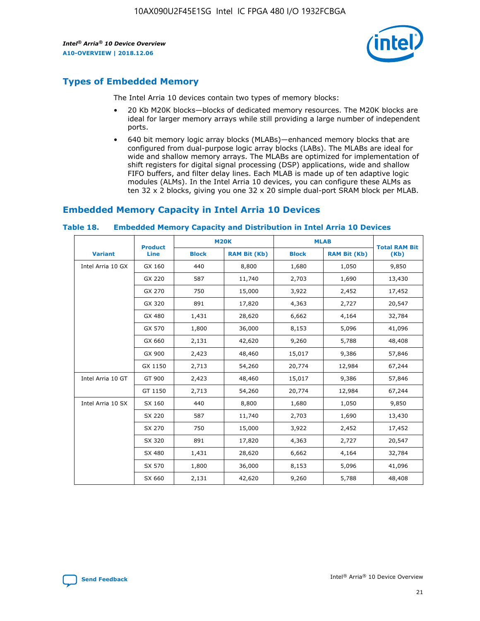

# **Types of Embedded Memory**

The Intel Arria 10 devices contain two types of memory blocks:

- 20 Kb M20K blocks—blocks of dedicated memory resources. The M20K blocks are ideal for larger memory arrays while still providing a large number of independent ports.
- 640 bit memory logic array blocks (MLABs)—enhanced memory blocks that are configured from dual-purpose logic array blocks (LABs). The MLABs are ideal for wide and shallow memory arrays. The MLABs are optimized for implementation of shift registers for digital signal processing (DSP) applications, wide and shallow FIFO buffers, and filter delay lines. Each MLAB is made up of ten adaptive logic modules (ALMs). In the Intel Arria 10 devices, you can configure these ALMs as ten 32 x 2 blocks, giving you one 32 x 20 simple dual-port SRAM block per MLAB.

# **Embedded Memory Capacity in Intel Arria 10 Devices**

|                   | <b>Product</b> |              | <b>M20K</b>         | <b>MLAB</b>  |                     | <b>Total RAM Bit</b> |
|-------------------|----------------|--------------|---------------------|--------------|---------------------|----------------------|
| <b>Variant</b>    | <b>Line</b>    | <b>Block</b> | <b>RAM Bit (Kb)</b> | <b>Block</b> | <b>RAM Bit (Kb)</b> | (Kb)                 |
| Intel Arria 10 GX | GX 160         | 440          | 8,800               | 1,680        | 1,050               | 9,850                |
|                   | GX 220         | 587          | 11,740              | 2,703        | 1,690               | 13,430               |
|                   | GX 270         | 750          | 15,000              | 3,922        | 2,452               | 17,452               |
|                   | GX 320         | 891          | 17,820              | 4,363        | 2,727               | 20,547               |
|                   | GX 480         | 1,431        | 28,620              | 6,662        | 4,164               | 32,784               |
|                   | GX 570         | 1,800        | 36,000              | 8,153        | 5,096               | 41,096               |
|                   | GX 660         | 2,131        | 42,620              | 9,260        | 5,788               | 48,408               |
|                   | GX 900         | 2,423        | 48,460              | 15,017       | 9,386               | 57,846               |
|                   | GX 1150        | 2,713        | 54,260              | 20,774       | 12,984              | 67,244               |
| Intel Arria 10 GT | GT 900         | 2,423        | 48,460              | 15,017       | 9,386               | 57,846               |
|                   | GT 1150        | 2,713        | 54,260              | 20,774       | 12,984              | 67,244               |
| Intel Arria 10 SX | SX 160         | 440          | 8,800               | 1,680        | 1,050               | 9,850                |
|                   | SX 220         | 587          | 11,740              | 2,703        | 1,690               | 13,430               |
|                   | SX 270         | 750          | 15,000              | 3,922        | 2,452               | 17,452               |
|                   | SX 320         | 891          | 17,820              | 4,363        | 2,727               | 20,547               |
|                   | SX 480         | 1,431        | 28,620              | 6,662        | 4,164               | 32,784               |
|                   | SX 570         | 1,800        | 36,000              | 8,153        | 5,096               | 41,096               |
|                   | SX 660         | 2,131        | 42,620              | 9,260        | 5,788               | 48,408               |

#### **Table 18. Embedded Memory Capacity and Distribution in Intel Arria 10 Devices**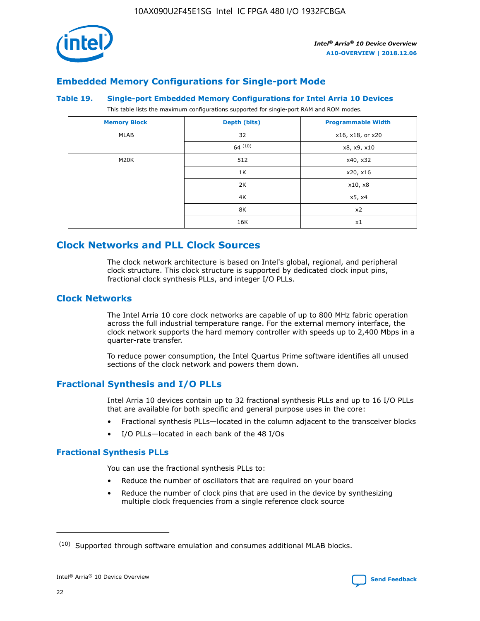

# **Embedded Memory Configurations for Single-port Mode**

#### **Table 19. Single-port Embedded Memory Configurations for Intel Arria 10 Devices**

This table lists the maximum configurations supported for single-port RAM and ROM modes.

| <b>Memory Block</b> | Depth (bits) | <b>Programmable Width</b> |
|---------------------|--------------|---------------------------|
| MLAB                | 32           | x16, x18, or x20          |
|                     | 64(10)       | x8, x9, x10               |
| M20K                | 512          | x40, x32                  |
|                     | 1K           | x20, x16                  |
|                     | 2K           | x10, x8                   |
|                     | 4K           | x5, x4                    |
|                     | 8K           | x2                        |
|                     | 16K          | x1                        |

# **Clock Networks and PLL Clock Sources**

The clock network architecture is based on Intel's global, regional, and peripheral clock structure. This clock structure is supported by dedicated clock input pins, fractional clock synthesis PLLs, and integer I/O PLLs.

# **Clock Networks**

The Intel Arria 10 core clock networks are capable of up to 800 MHz fabric operation across the full industrial temperature range. For the external memory interface, the clock network supports the hard memory controller with speeds up to 2,400 Mbps in a quarter-rate transfer.

To reduce power consumption, the Intel Quartus Prime software identifies all unused sections of the clock network and powers them down.

# **Fractional Synthesis and I/O PLLs**

Intel Arria 10 devices contain up to 32 fractional synthesis PLLs and up to 16 I/O PLLs that are available for both specific and general purpose uses in the core:

- Fractional synthesis PLLs—located in the column adjacent to the transceiver blocks
- I/O PLLs—located in each bank of the 48 I/Os

### **Fractional Synthesis PLLs**

You can use the fractional synthesis PLLs to:

- Reduce the number of oscillators that are required on your board
- Reduce the number of clock pins that are used in the device by synthesizing multiple clock frequencies from a single reference clock source

<sup>(10)</sup> Supported through software emulation and consumes additional MLAB blocks.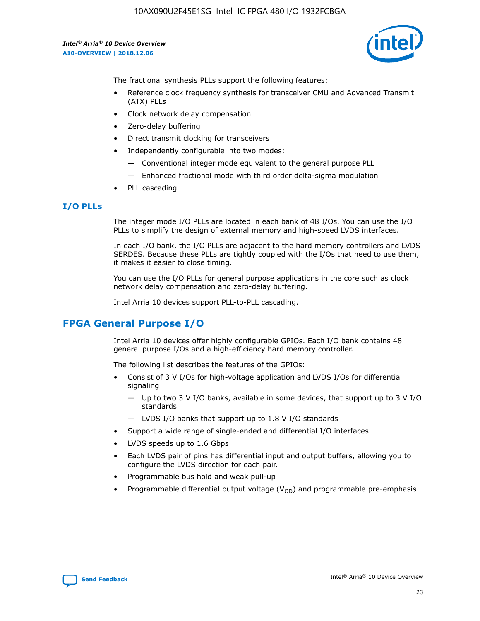10AX090U2F45E1SG Intel IC FPGA 480 I/O 1932FCBGA

*Intel® Arria® 10 Device Overview* **A10-OVERVIEW | 2018.12.06**



The fractional synthesis PLLs support the following features:

- Reference clock frequency synthesis for transceiver CMU and Advanced Transmit (ATX) PLLs
- Clock network delay compensation
- Zero-delay buffering
- Direct transmit clocking for transceivers
- Independently configurable into two modes:
	- Conventional integer mode equivalent to the general purpose PLL
	- Enhanced fractional mode with third order delta-sigma modulation
- PLL cascading

## **I/O PLLs**

The integer mode I/O PLLs are located in each bank of 48 I/Os. You can use the I/O PLLs to simplify the design of external memory and high-speed LVDS interfaces.

In each I/O bank, the I/O PLLs are adjacent to the hard memory controllers and LVDS SERDES. Because these PLLs are tightly coupled with the I/Os that need to use them, it makes it easier to close timing.

You can use the I/O PLLs for general purpose applications in the core such as clock network delay compensation and zero-delay buffering.

Intel Arria 10 devices support PLL-to-PLL cascading.

# **FPGA General Purpose I/O**

Intel Arria 10 devices offer highly configurable GPIOs. Each I/O bank contains 48 general purpose I/Os and a high-efficiency hard memory controller.

The following list describes the features of the GPIOs:

- Consist of 3 V I/Os for high-voltage application and LVDS I/Os for differential signaling
	- Up to two 3 V I/O banks, available in some devices, that support up to 3 V I/O standards
	- LVDS I/O banks that support up to 1.8 V I/O standards
- Support a wide range of single-ended and differential I/O interfaces
- LVDS speeds up to 1.6 Gbps
- Each LVDS pair of pins has differential input and output buffers, allowing you to configure the LVDS direction for each pair.
- Programmable bus hold and weak pull-up
- Programmable differential output voltage  $(V_{OD})$  and programmable pre-emphasis

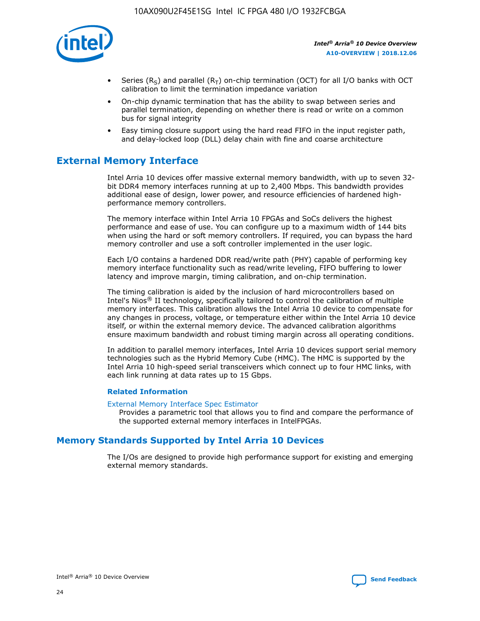

- Series (R<sub>S</sub>) and parallel (R<sub>T</sub>) on-chip termination (OCT) for all I/O banks with OCT calibration to limit the termination impedance variation
- On-chip dynamic termination that has the ability to swap between series and parallel termination, depending on whether there is read or write on a common bus for signal integrity
- Easy timing closure support using the hard read FIFO in the input register path, and delay-locked loop (DLL) delay chain with fine and coarse architecture

# **External Memory Interface**

Intel Arria 10 devices offer massive external memory bandwidth, with up to seven 32 bit DDR4 memory interfaces running at up to 2,400 Mbps. This bandwidth provides additional ease of design, lower power, and resource efficiencies of hardened highperformance memory controllers.

The memory interface within Intel Arria 10 FPGAs and SoCs delivers the highest performance and ease of use. You can configure up to a maximum width of 144 bits when using the hard or soft memory controllers. If required, you can bypass the hard memory controller and use a soft controller implemented in the user logic.

Each I/O contains a hardened DDR read/write path (PHY) capable of performing key memory interface functionality such as read/write leveling, FIFO buffering to lower latency and improve margin, timing calibration, and on-chip termination.

The timing calibration is aided by the inclusion of hard microcontrollers based on Intel's Nios® II technology, specifically tailored to control the calibration of multiple memory interfaces. This calibration allows the Intel Arria 10 device to compensate for any changes in process, voltage, or temperature either within the Intel Arria 10 device itself, or within the external memory device. The advanced calibration algorithms ensure maximum bandwidth and robust timing margin across all operating conditions.

In addition to parallel memory interfaces, Intel Arria 10 devices support serial memory technologies such as the Hybrid Memory Cube (HMC). The HMC is supported by the Intel Arria 10 high-speed serial transceivers which connect up to four HMC links, with each link running at data rates up to 15 Gbps.

#### **Related Information**

#### [External Memory Interface Spec Estimator](http://www.altera.com/technology/memory/estimator/mem-emif-index.html)

Provides a parametric tool that allows you to find and compare the performance of the supported external memory interfaces in IntelFPGAs.

# **Memory Standards Supported by Intel Arria 10 Devices**

The I/Os are designed to provide high performance support for existing and emerging external memory standards.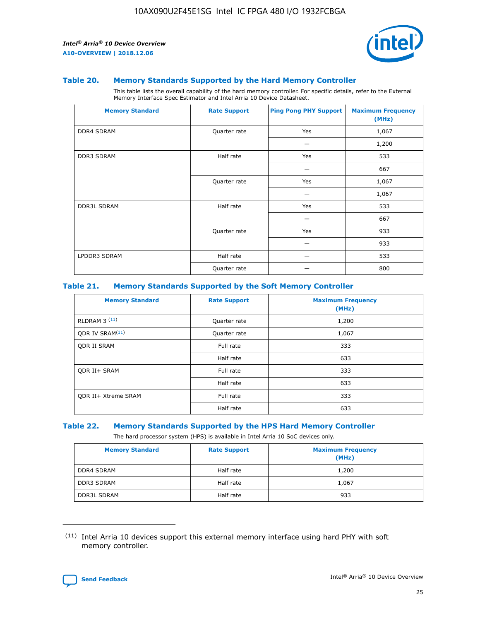

#### **Table 20. Memory Standards Supported by the Hard Memory Controller**

This table lists the overall capability of the hard memory controller. For specific details, refer to the External Memory Interface Spec Estimator and Intel Arria 10 Device Datasheet.

| <b>Memory Standard</b> | <b>Rate Support</b> | <b>Ping Pong PHY Support</b> | <b>Maximum Frequency</b><br>(MHz) |
|------------------------|---------------------|------------------------------|-----------------------------------|
| <b>DDR4 SDRAM</b>      | Quarter rate        | Yes                          | 1,067                             |
|                        |                     |                              | 1,200                             |
| DDR3 SDRAM             | Half rate           | Yes                          | 533                               |
|                        |                     |                              | 667                               |
|                        | Quarter rate        | Yes                          | 1,067                             |
|                        |                     |                              | 1,067                             |
| <b>DDR3L SDRAM</b>     | Half rate           | Yes                          | 533                               |
|                        |                     |                              | 667                               |
|                        | Quarter rate        | Yes                          | 933                               |
|                        |                     |                              | 933                               |
| LPDDR3 SDRAM           | Half rate           |                              | 533                               |
|                        | Quarter rate        |                              | 800                               |

#### **Table 21. Memory Standards Supported by the Soft Memory Controller**

| <b>Memory Standard</b>      | <b>Rate Support</b> | <b>Maximum Frequency</b><br>(MHz) |
|-----------------------------|---------------------|-----------------------------------|
| <b>RLDRAM 3 (11)</b>        | Quarter rate        | 1,200                             |
| ODR IV SRAM <sup>(11)</sup> | Quarter rate        | 1,067                             |
| <b>ODR II SRAM</b>          | Full rate           | 333                               |
|                             | Half rate           | 633                               |
| <b>ODR II+ SRAM</b>         | Full rate           | 333                               |
|                             | Half rate           | 633                               |
| <b>ODR II+ Xtreme SRAM</b>  | Full rate           | 333                               |
|                             | Half rate           | 633                               |

#### **Table 22. Memory Standards Supported by the HPS Hard Memory Controller**

The hard processor system (HPS) is available in Intel Arria 10 SoC devices only.

| <b>Memory Standard</b> | <b>Rate Support</b> | <b>Maximum Frequency</b><br>(MHz) |
|------------------------|---------------------|-----------------------------------|
| <b>DDR4 SDRAM</b>      | Half rate           | 1,200                             |
| <b>DDR3 SDRAM</b>      | Half rate           | 1,067                             |
| <b>DDR3L SDRAM</b>     | Half rate           | 933                               |

<sup>(11)</sup> Intel Arria 10 devices support this external memory interface using hard PHY with soft memory controller.

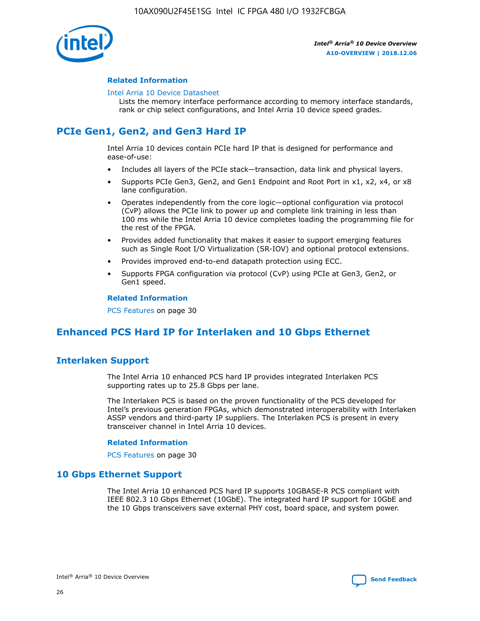

### **Related Information**

#### [Intel Arria 10 Device Datasheet](https://www.intel.com/content/www/us/en/programmable/documentation/mcn1413182292568.html#mcn1413182153340)

Lists the memory interface performance according to memory interface standards, rank or chip select configurations, and Intel Arria 10 device speed grades.

# **PCIe Gen1, Gen2, and Gen3 Hard IP**

Intel Arria 10 devices contain PCIe hard IP that is designed for performance and ease-of-use:

- Includes all layers of the PCIe stack—transaction, data link and physical layers.
- Supports PCIe Gen3, Gen2, and Gen1 Endpoint and Root Port in x1, x2, x4, or x8 lane configuration.
- Operates independently from the core logic—optional configuration via protocol (CvP) allows the PCIe link to power up and complete link training in less than 100 ms while the Intel Arria 10 device completes loading the programming file for the rest of the FPGA.
- Provides added functionality that makes it easier to support emerging features such as Single Root I/O Virtualization (SR-IOV) and optional protocol extensions.
- Provides improved end-to-end datapath protection using ECC.
- Supports FPGA configuration via protocol (CvP) using PCIe at Gen3, Gen2, or Gen1 speed.

#### **Related Information**

PCS Features on page 30

# **Enhanced PCS Hard IP for Interlaken and 10 Gbps Ethernet**

# **Interlaken Support**

The Intel Arria 10 enhanced PCS hard IP provides integrated Interlaken PCS supporting rates up to 25.8 Gbps per lane.

The Interlaken PCS is based on the proven functionality of the PCS developed for Intel's previous generation FPGAs, which demonstrated interoperability with Interlaken ASSP vendors and third-party IP suppliers. The Interlaken PCS is present in every transceiver channel in Intel Arria 10 devices.

#### **Related Information**

PCS Features on page 30

# **10 Gbps Ethernet Support**

The Intel Arria 10 enhanced PCS hard IP supports 10GBASE-R PCS compliant with IEEE 802.3 10 Gbps Ethernet (10GbE). The integrated hard IP support for 10GbE and the 10 Gbps transceivers save external PHY cost, board space, and system power.

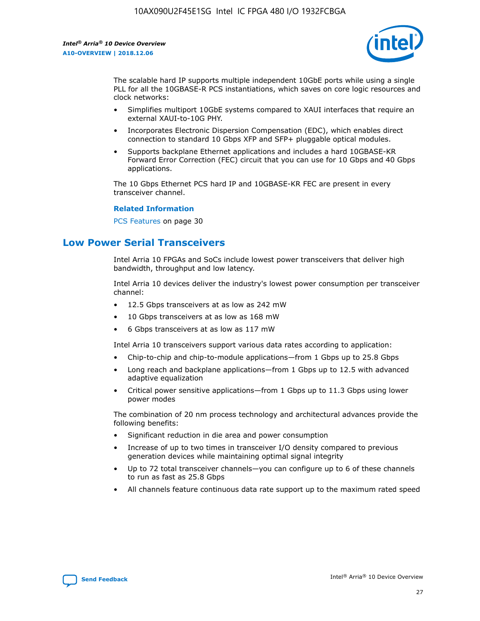

The scalable hard IP supports multiple independent 10GbE ports while using a single PLL for all the 10GBASE-R PCS instantiations, which saves on core logic resources and clock networks:

- Simplifies multiport 10GbE systems compared to XAUI interfaces that require an external XAUI-to-10G PHY.
- Incorporates Electronic Dispersion Compensation (EDC), which enables direct connection to standard 10 Gbps XFP and SFP+ pluggable optical modules.
- Supports backplane Ethernet applications and includes a hard 10GBASE-KR Forward Error Correction (FEC) circuit that you can use for 10 Gbps and 40 Gbps applications.

The 10 Gbps Ethernet PCS hard IP and 10GBASE-KR FEC are present in every transceiver channel.

#### **Related Information**

PCS Features on page 30

# **Low Power Serial Transceivers**

Intel Arria 10 FPGAs and SoCs include lowest power transceivers that deliver high bandwidth, throughput and low latency.

Intel Arria 10 devices deliver the industry's lowest power consumption per transceiver channel:

- 12.5 Gbps transceivers at as low as 242 mW
- 10 Gbps transceivers at as low as 168 mW
- 6 Gbps transceivers at as low as 117 mW

Intel Arria 10 transceivers support various data rates according to application:

- Chip-to-chip and chip-to-module applications—from 1 Gbps up to 25.8 Gbps
- Long reach and backplane applications—from 1 Gbps up to 12.5 with advanced adaptive equalization
- Critical power sensitive applications—from 1 Gbps up to 11.3 Gbps using lower power modes

The combination of 20 nm process technology and architectural advances provide the following benefits:

- Significant reduction in die area and power consumption
- Increase of up to two times in transceiver I/O density compared to previous generation devices while maintaining optimal signal integrity
- Up to 72 total transceiver channels—you can configure up to 6 of these channels to run as fast as 25.8 Gbps
- All channels feature continuous data rate support up to the maximum rated speed

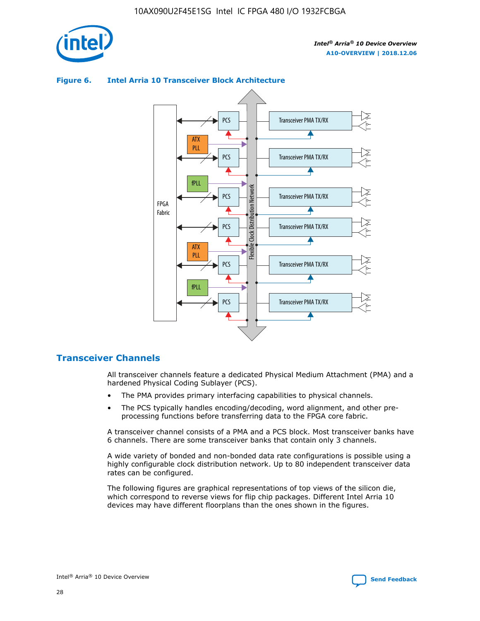



## **Figure 6. Intel Arria 10 Transceiver Block Architecture**

# **Transceiver Channels**

All transceiver channels feature a dedicated Physical Medium Attachment (PMA) and a hardened Physical Coding Sublayer (PCS).

- The PMA provides primary interfacing capabilities to physical channels.
- The PCS typically handles encoding/decoding, word alignment, and other preprocessing functions before transferring data to the FPGA core fabric.

A transceiver channel consists of a PMA and a PCS block. Most transceiver banks have 6 channels. There are some transceiver banks that contain only 3 channels.

A wide variety of bonded and non-bonded data rate configurations is possible using a highly configurable clock distribution network. Up to 80 independent transceiver data rates can be configured.

The following figures are graphical representations of top views of the silicon die, which correspond to reverse views for flip chip packages. Different Intel Arria 10 devices may have different floorplans than the ones shown in the figures.

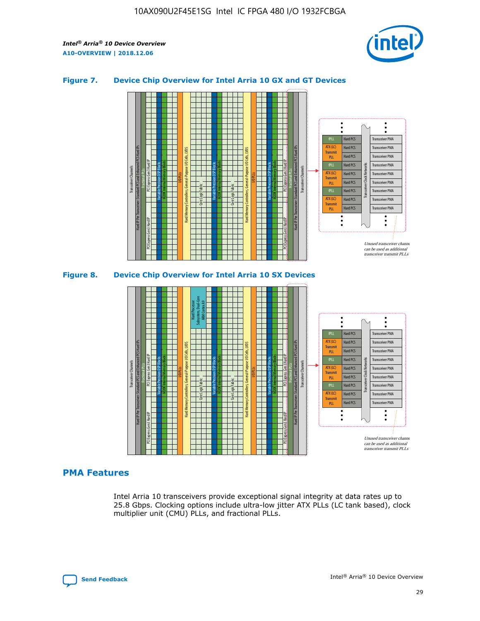

## **Figure 7. Device Chip Overview for Intel Arria 10 GX and GT Devices**





# **PMA Features**

Intel Arria 10 transceivers provide exceptional signal integrity at data rates up to 25.8 Gbps. Clocking options include ultra-low jitter ATX PLLs (LC tank based), clock multiplier unit (CMU) PLLs, and fractional PLLs.

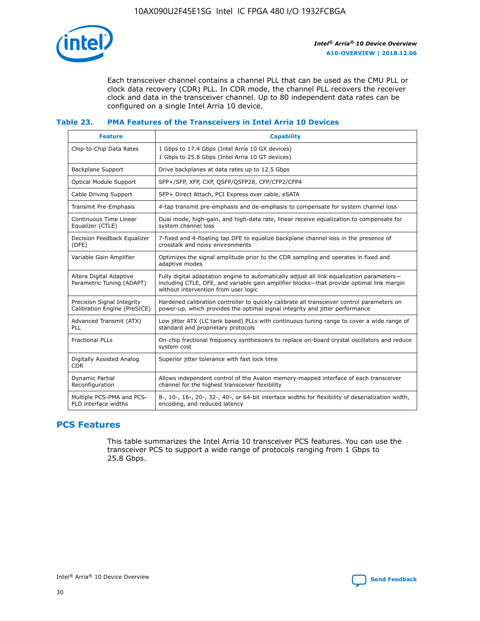

Each transceiver channel contains a channel PLL that can be used as the CMU PLL or clock data recovery (CDR) PLL. In CDR mode, the channel PLL recovers the receiver clock and data in the transceiver channel. Up to 80 independent data rates can be configured on a single Intel Arria 10 device.

## **Table 23. PMA Features of the Transceivers in Intel Arria 10 Devices**

| <b>Feature</b>                                             | <b>Capability</b>                                                                                                                                                                                                             |
|------------------------------------------------------------|-------------------------------------------------------------------------------------------------------------------------------------------------------------------------------------------------------------------------------|
| Chip-to-Chip Data Rates                                    | 1 Gbps to 17.4 Gbps (Intel Arria 10 GX devices)<br>1 Gbps to 25.8 Gbps (Intel Arria 10 GT devices)                                                                                                                            |
| <b>Backplane Support</b>                                   | Drive backplanes at data rates up to 12.5 Gbps                                                                                                                                                                                |
| Optical Module Support                                     | SFP+/SFP, XFP, CXP, QSFP/QSFP28, CFP/CFP2/CFP4                                                                                                                                                                                |
| Cable Driving Support                                      | SFP+ Direct Attach, PCI Express over cable, eSATA                                                                                                                                                                             |
| Transmit Pre-Emphasis                                      | 4-tap transmit pre-emphasis and de-emphasis to compensate for system channel loss                                                                                                                                             |
| Continuous Time Linear<br>Equalizer (CTLE)                 | Dual mode, high-gain, and high-data rate, linear receive equalization to compensate for<br>system channel loss                                                                                                                |
| Decision Feedback Equalizer<br>(DFE)                       | 7-fixed and 4-floating tap DFE to equalize backplane channel loss in the presence of<br>crosstalk and noisy environments                                                                                                      |
| Variable Gain Amplifier                                    | Optimizes the signal amplitude prior to the CDR sampling and operates in fixed and<br>adaptive modes                                                                                                                          |
| Altera Digital Adaptive<br>Parametric Tuning (ADAPT)       | Fully digital adaptation engine to automatically adjust all link equalization parameters-<br>including CTLE, DFE, and variable gain amplifier blocks—that provide optimal link margin<br>without intervention from user logic |
| Precision Signal Integrity<br>Calibration Engine (PreSICE) | Hardened calibration controller to quickly calibrate all transceiver control parameters on<br>power-up, which provides the optimal signal integrity and jitter performance                                                    |
| Advanced Transmit (ATX)<br><b>PLL</b>                      | Low jitter ATX (LC tank based) PLLs with continuous tuning range to cover a wide range of<br>standard and proprietary protocols                                                                                               |
| <b>Fractional PLLs</b>                                     | On-chip fractional frequency synthesizers to replace on-board crystal oscillators and reduce<br>system cost                                                                                                                   |
| Digitally Assisted Analog<br><b>CDR</b>                    | Superior jitter tolerance with fast lock time                                                                                                                                                                                 |
| Dynamic Partial<br>Reconfiguration                         | Allows independent control of the Avalon memory-mapped interface of each transceiver<br>channel for the highest transceiver flexibility                                                                                       |
| Multiple PCS-PMA and PCS-<br>PLD interface widths          | 8-, 10-, 16-, 20-, 32-, 40-, or 64-bit interface widths for flexibility of deserialization width,<br>encoding, and reduced latency                                                                                            |

# **PCS Features**

This table summarizes the Intel Arria 10 transceiver PCS features. You can use the transceiver PCS to support a wide range of protocols ranging from 1 Gbps to 25.8 Gbps.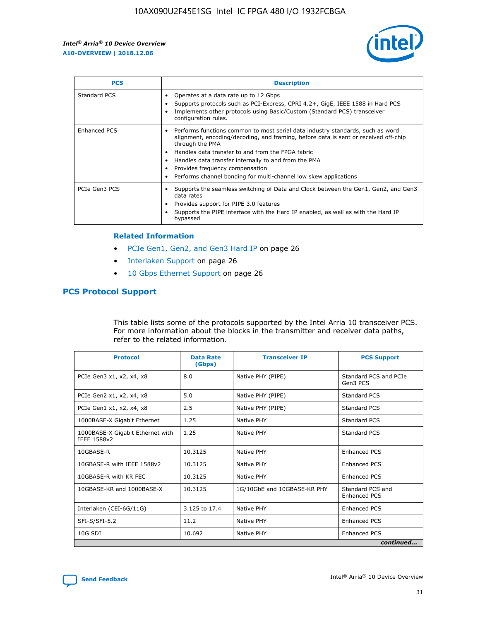

| <b>PCS</b>    | <b>Description</b>                                                                                                                                                                                                                                                                                                                                                                                             |
|---------------|----------------------------------------------------------------------------------------------------------------------------------------------------------------------------------------------------------------------------------------------------------------------------------------------------------------------------------------------------------------------------------------------------------------|
| Standard PCS  | Operates at a data rate up to 12 Gbps<br>Supports protocols such as PCI-Express, CPRI 4.2+, GigE, IEEE 1588 in Hard PCS<br>Implements other protocols using Basic/Custom (Standard PCS) transceiver<br>configuration rules.                                                                                                                                                                                    |
| Enhanced PCS  | Performs functions common to most serial data industry standards, such as word<br>alignment, encoding/decoding, and framing, before data is sent or received off-chip<br>through the PMA<br>• Handles data transfer to and from the FPGA fabric<br>Handles data transfer internally to and from the PMA<br>Provides frequency compensation<br>Performs channel bonding for multi-channel low skew applications |
| PCIe Gen3 PCS | Supports the seamless switching of Data and Clock between the Gen1, Gen2, and Gen3<br>data rates<br>Provides support for PIPE 3.0 features<br>Supports the PIPE interface with the Hard IP enabled, as well as with the Hard IP<br>bypassed                                                                                                                                                                    |

#### **Related Information**

- PCIe Gen1, Gen2, and Gen3 Hard IP on page 26
- Interlaken Support on page 26
- 10 Gbps Ethernet Support on page 26

# **PCS Protocol Support**

This table lists some of the protocols supported by the Intel Arria 10 transceiver PCS. For more information about the blocks in the transmitter and receiver data paths, refer to the related information.

| <b>Protocol</b>                                 | <b>Data Rate</b><br>(Gbps) | <b>Transceiver IP</b>       | <b>PCS Support</b>                      |
|-------------------------------------------------|----------------------------|-----------------------------|-----------------------------------------|
| PCIe Gen3 x1, x2, x4, x8                        | 8.0                        | Native PHY (PIPE)           | Standard PCS and PCIe<br>Gen3 PCS       |
| PCIe Gen2 x1, x2, x4, x8                        | 5.0                        | Native PHY (PIPE)           | <b>Standard PCS</b>                     |
| PCIe Gen1 x1, x2, x4, x8                        | 2.5                        | Native PHY (PIPE)           | Standard PCS                            |
| 1000BASE-X Gigabit Ethernet                     | 1.25                       | Native PHY                  | <b>Standard PCS</b>                     |
| 1000BASE-X Gigabit Ethernet with<br>IEEE 1588v2 | 1.25                       | Native PHY                  | Standard PCS                            |
| 10GBASE-R                                       | 10.3125                    | Native PHY                  | <b>Enhanced PCS</b>                     |
| 10GBASE-R with IEEE 1588v2                      | 10.3125                    | Native PHY                  | <b>Enhanced PCS</b>                     |
| 10GBASE-R with KR FEC                           | 10.3125                    | Native PHY                  | <b>Enhanced PCS</b>                     |
| 10GBASE-KR and 1000BASE-X                       | 10.3125                    | 1G/10GbE and 10GBASE-KR PHY | Standard PCS and<br><b>Enhanced PCS</b> |
| Interlaken (CEI-6G/11G)                         | 3.125 to 17.4              | Native PHY                  | <b>Enhanced PCS</b>                     |
| SFI-S/SFI-5.2                                   | 11.2                       | Native PHY                  | <b>Enhanced PCS</b>                     |
| $10G$ SDI                                       | 10.692                     | Native PHY                  | <b>Enhanced PCS</b>                     |
|                                                 |                            |                             | continued                               |

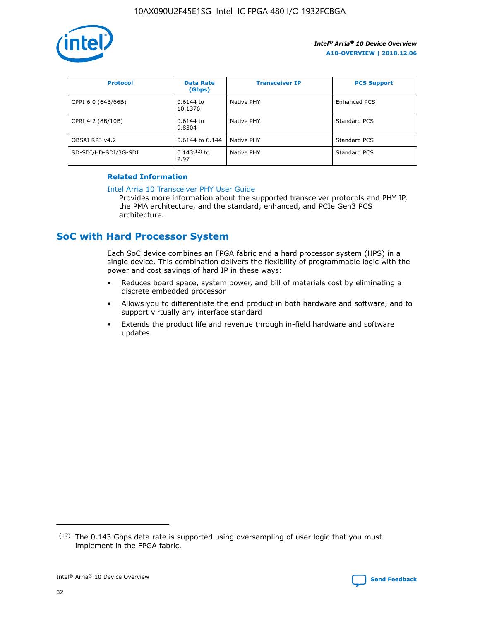

| <b>Protocol</b>      | <b>Data Rate</b><br>(Gbps) | <b>Transceiver IP</b> | <b>PCS Support</b> |
|----------------------|----------------------------|-----------------------|--------------------|
| CPRI 6.0 (64B/66B)   | 0.6144 to<br>10.1376       | Native PHY            | Enhanced PCS       |
| CPRI 4.2 (8B/10B)    | 0.6144 to<br>9.8304        | Native PHY            | Standard PCS       |
| OBSAI RP3 v4.2       | 0.6144 to 6.144            | Native PHY            | Standard PCS       |
| SD-SDI/HD-SDI/3G-SDI | $0.143(12)$ to<br>2.97     | Native PHY            | Standard PCS       |

# **Related Information**

#### [Intel Arria 10 Transceiver PHY User Guide](https://www.intel.com/content/www/us/en/programmable/documentation/nik1398707230472.html#nik1398707091164)

Provides more information about the supported transceiver protocols and PHY IP, the PMA architecture, and the standard, enhanced, and PCIe Gen3 PCS architecture.

# **SoC with Hard Processor System**

Each SoC device combines an FPGA fabric and a hard processor system (HPS) in a single device. This combination delivers the flexibility of programmable logic with the power and cost savings of hard IP in these ways:

- Reduces board space, system power, and bill of materials cost by eliminating a discrete embedded processor
- Allows you to differentiate the end product in both hardware and software, and to support virtually any interface standard
- Extends the product life and revenue through in-field hardware and software updates

 $(12)$  The 0.143 Gbps data rate is supported using oversampling of user logic that you must implement in the FPGA fabric.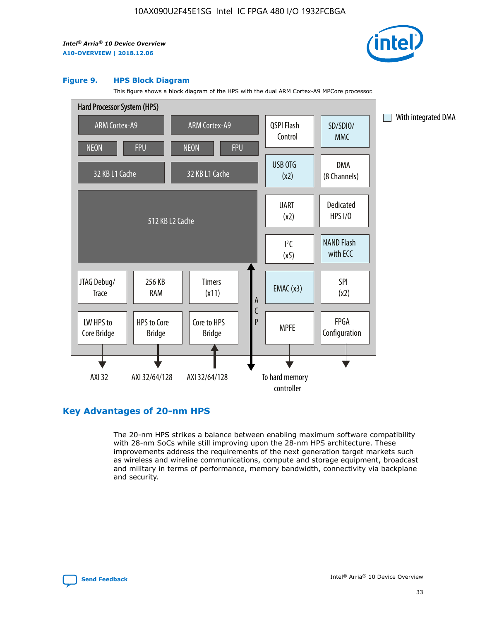

#### **Figure 9. HPS Block Diagram**

This figure shows a block diagram of the HPS with the dual ARM Cortex-A9 MPCore processor.



# **Key Advantages of 20-nm HPS**

The 20-nm HPS strikes a balance between enabling maximum software compatibility with 28-nm SoCs while still improving upon the 28-nm HPS architecture. These improvements address the requirements of the next generation target markets such as wireless and wireline communications, compute and storage equipment, broadcast and military in terms of performance, memory bandwidth, connectivity via backplane and security.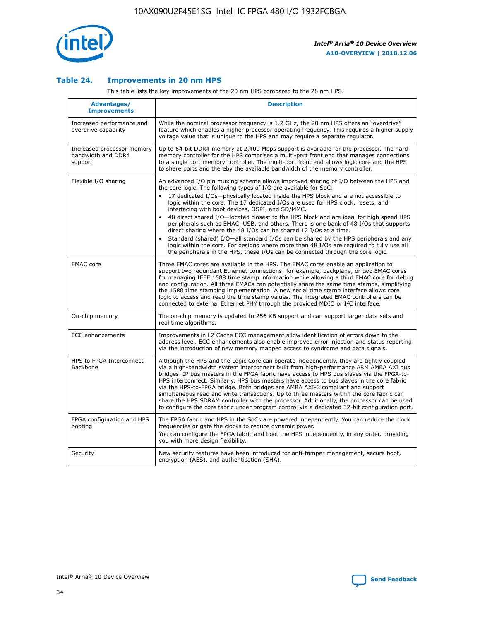

## **Table 24. Improvements in 20 nm HPS**

This table lists the key improvements of the 20 nm HPS compared to the 28 nm HPS.

| Advantages/<br><b>Improvements</b>                          | <b>Description</b>                                                                                                                                                                                                                                                                                                                                                                                                                                                                                                                                                                                                                                                                                                                                                                                                                                                                                                                   |
|-------------------------------------------------------------|--------------------------------------------------------------------------------------------------------------------------------------------------------------------------------------------------------------------------------------------------------------------------------------------------------------------------------------------------------------------------------------------------------------------------------------------------------------------------------------------------------------------------------------------------------------------------------------------------------------------------------------------------------------------------------------------------------------------------------------------------------------------------------------------------------------------------------------------------------------------------------------------------------------------------------------|
| Increased performance and<br>overdrive capability           | While the nominal processor frequency is 1.2 GHz, the 20 nm HPS offers an "overdrive"<br>feature which enables a higher processor operating frequency. This requires a higher supply<br>voltage value that is unique to the HPS and may require a separate requlator.                                                                                                                                                                                                                                                                                                                                                                                                                                                                                                                                                                                                                                                                |
| Increased processor memory<br>bandwidth and DDR4<br>support | Up to 64-bit DDR4 memory at 2,400 Mbps support is available for the processor. The hard<br>memory controller for the HPS comprises a multi-port front end that manages connections<br>to a single port memory controller. The multi-port front end allows logic core and the HPS<br>to share ports and thereby the available bandwidth of the memory controller.                                                                                                                                                                                                                                                                                                                                                                                                                                                                                                                                                                     |
| Flexible I/O sharing                                        | An advanced I/O pin muxing scheme allows improved sharing of I/O between the HPS and<br>the core logic. The following types of I/O are available for SoC:<br>17 dedicated I/Os-physically located inside the HPS block and are not accessible to<br>logic within the core. The 17 dedicated I/Os are used for HPS clock, resets, and<br>interfacing with boot devices, QSPI, and SD/MMC.<br>48 direct shared I/O-located closest to the HPS block and are ideal for high speed HPS<br>peripherals such as EMAC, USB, and others. There is one bank of 48 I/Os that supports<br>direct sharing where the 48 I/Os can be shared 12 I/Os at a time.<br>Standard (shared) I/O-all standard I/Os can be shared by the HPS peripherals and any<br>$\bullet$<br>logic within the core. For designs where more than 48 I/Os are required to fully use all<br>the peripherals in the HPS, these I/Os can be connected through the core logic. |
| <b>EMAC</b> core                                            | Three EMAC cores are available in the HPS. The EMAC cores enable an application to<br>support two redundant Ethernet connections; for example, backplane, or two EMAC cores<br>for managing IEEE 1588 time stamp information while allowing a third EMAC core for debug<br>and configuration. All three EMACs can potentially share the same time stamps, simplifying<br>the 1588 time stamping implementation. A new serial time stamp interface allows core<br>logic to access and read the time stamp values. The integrated EMAC controllers can be<br>connected to external Ethernet PHY through the provided MDIO or I <sup>2</sup> C interface.                                                                                                                                                                                                                                                                               |
| On-chip memory                                              | The on-chip memory is updated to 256 KB support and can support larger data sets and<br>real time algorithms.                                                                                                                                                                                                                                                                                                                                                                                                                                                                                                                                                                                                                                                                                                                                                                                                                        |
| <b>ECC</b> enhancements                                     | Improvements in L2 Cache ECC management allow identification of errors down to the<br>address level. ECC enhancements also enable improved error injection and status reporting<br>via the introduction of new memory mapped access to syndrome and data signals.                                                                                                                                                                                                                                                                                                                                                                                                                                                                                                                                                                                                                                                                    |
| HPS to FPGA Interconnect<br>Backbone                        | Although the HPS and the Logic Core can operate independently, they are tightly coupled<br>via a high-bandwidth system interconnect built from high-performance ARM AMBA AXI bus<br>bridges. IP bus masters in the FPGA fabric have access to HPS bus slaves via the FPGA-to-<br>HPS interconnect. Similarly, HPS bus masters have access to bus slaves in the core fabric<br>via the HPS-to-FPGA bridge. Both bridges are AMBA AXI-3 compliant and support<br>simultaneous read and write transactions. Up to three masters within the core fabric can<br>share the HPS SDRAM controller with the processor. Additionally, the processor can be used<br>to configure the core fabric under program control via a dedicated 32-bit configuration port.                                                                                                                                                                               |
| FPGA configuration and HPS<br>booting                       | The FPGA fabric and HPS in the SoCs are powered independently. You can reduce the clock<br>frequencies or gate the clocks to reduce dynamic power.<br>You can configure the FPGA fabric and boot the HPS independently, in any order, providing<br>you with more design flexibility.                                                                                                                                                                                                                                                                                                                                                                                                                                                                                                                                                                                                                                                 |
| Security                                                    | New security features have been introduced for anti-tamper management, secure boot,<br>encryption (AES), and authentication (SHA).                                                                                                                                                                                                                                                                                                                                                                                                                                                                                                                                                                                                                                                                                                                                                                                                   |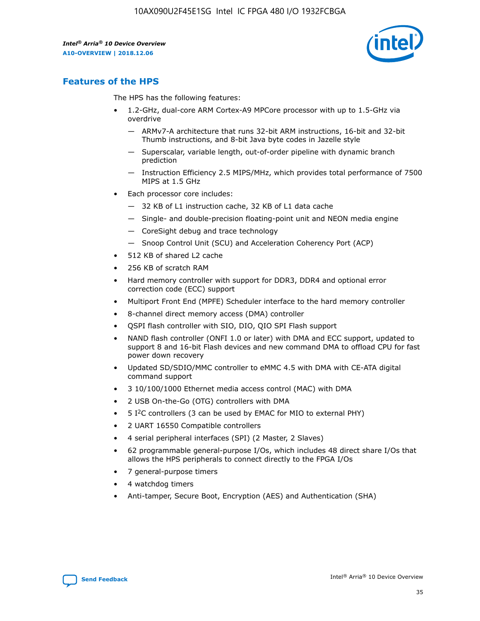

# **Features of the HPS**

The HPS has the following features:

- 1.2-GHz, dual-core ARM Cortex-A9 MPCore processor with up to 1.5-GHz via overdrive
	- ARMv7-A architecture that runs 32-bit ARM instructions, 16-bit and 32-bit Thumb instructions, and 8-bit Java byte codes in Jazelle style
	- Superscalar, variable length, out-of-order pipeline with dynamic branch prediction
	- Instruction Efficiency 2.5 MIPS/MHz, which provides total performance of 7500 MIPS at 1.5 GHz
- Each processor core includes:
	- 32 KB of L1 instruction cache, 32 KB of L1 data cache
	- Single- and double-precision floating-point unit and NEON media engine
	- CoreSight debug and trace technology
	- Snoop Control Unit (SCU) and Acceleration Coherency Port (ACP)
- 512 KB of shared L2 cache
- 256 KB of scratch RAM
- Hard memory controller with support for DDR3, DDR4 and optional error correction code (ECC) support
- Multiport Front End (MPFE) Scheduler interface to the hard memory controller
- 8-channel direct memory access (DMA) controller
- QSPI flash controller with SIO, DIO, QIO SPI Flash support
- NAND flash controller (ONFI 1.0 or later) with DMA and ECC support, updated to support 8 and 16-bit Flash devices and new command DMA to offload CPU for fast power down recovery
- Updated SD/SDIO/MMC controller to eMMC 4.5 with DMA with CE-ATA digital command support
- 3 10/100/1000 Ethernet media access control (MAC) with DMA
- 2 USB On-the-Go (OTG) controllers with DMA
- $\bullet$  5 I<sup>2</sup>C controllers (3 can be used by EMAC for MIO to external PHY)
- 2 UART 16550 Compatible controllers
- 4 serial peripheral interfaces (SPI) (2 Master, 2 Slaves)
- 62 programmable general-purpose I/Os, which includes 48 direct share I/Os that allows the HPS peripherals to connect directly to the FPGA I/Os
- 7 general-purpose timers
- 4 watchdog timers
- Anti-tamper, Secure Boot, Encryption (AES) and Authentication (SHA)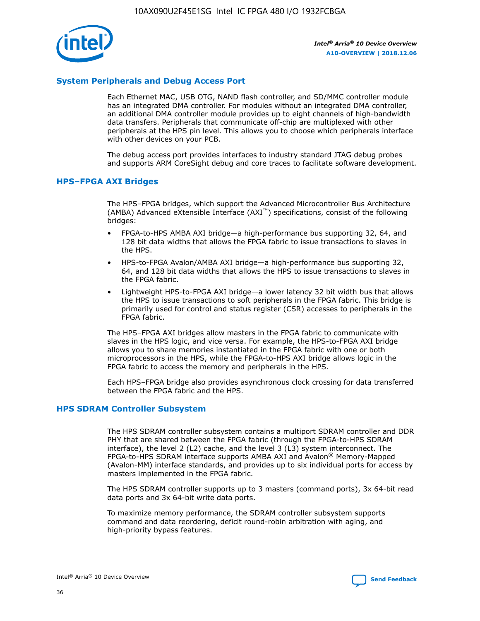

# **System Peripherals and Debug Access Port**

Each Ethernet MAC, USB OTG, NAND flash controller, and SD/MMC controller module has an integrated DMA controller. For modules without an integrated DMA controller, an additional DMA controller module provides up to eight channels of high-bandwidth data transfers. Peripherals that communicate off-chip are multiplexed with other peripherals at the HPS pin level. This allows you to choose which peripherals interface with other devices on your PCB.

The debug access port provides interfaces to industry standard JTAG debug probes and supports ARM CoreSight debug and core traces to facilitate software development.

#### **HPS–FPGA AXI Bridges**

The HPS–FPGA bridges, which support the Advanced Microcontroller Bus Architecture (AMBA) Advanced eXtensible Interface (AXI™) specifications, consist of the following bridges:

- FPGA-to-HPS AMBA AXI bridge—a high-performance bus supporting 32, 64, and 128 bit data widths that allows the FPGA fabric to issue transactions to slaves in the HPS.
- HPS-to-FPGA Avalon/AMBA AXI bridge—a high-performance bus supporting 32, 64, and 128 bit data widths that allows the HPS to issue transactions to slaves in the FPGA fabric.
- Lightweight HPS-to-FPGA AXI bridge—a lower latency 32 bit width bus that allows the HPS to issue transactions to soft peripherals in the FPGA fabric. This bridge is primarily used for control and status register (CSR) accesses to peripherals in the FPGA fabric.

The HPS–FPGA AXI bridges allow masters in the FPGA fabric to communicate with slaves in the HPS logic, and vice versa. For example, the HPS-to-FPGA AXI bridge allows you to share memories instantiated in the FPGA fabric with one or both microprocessors in the HPS, while the FPGA-to-HPS AXI bridge allows logic in the FPGA fabric to access the memory and peripherals in the HPS.

Each HPS–FPGA bridge also provides asynchronous clock crossing for data transferred between the FPGA fabric and the HPS.

#### **HPS SDRAM Controller Subsystem**

The HPS SDRAM controller subsystem contains a multiport SDRAM controller and DDR PHY that are shared between the FPGA fabric (through the FPGA-to-HPS SDRAM interface), the level 2 (L2) cache, and the level 3 (L3) system interconnect. The FPGA-to-HPS SDRAM interface supports AMBA AXI and Avalon® Memory-Mapped (Avalon-MM) interface standards, and provides up to six individual ports for access by masters implemented in the FPGA fabric.

The HPS SDRAM controller supports up to 3 masters (command ports), 3x 64-bit read data ports and 3x 64-bit write data ports.

To maximize memory performance, the SDRAM controller subsystem supports command and data reordering, deficit round-robin arbitration with aging, and high-priority bypass features.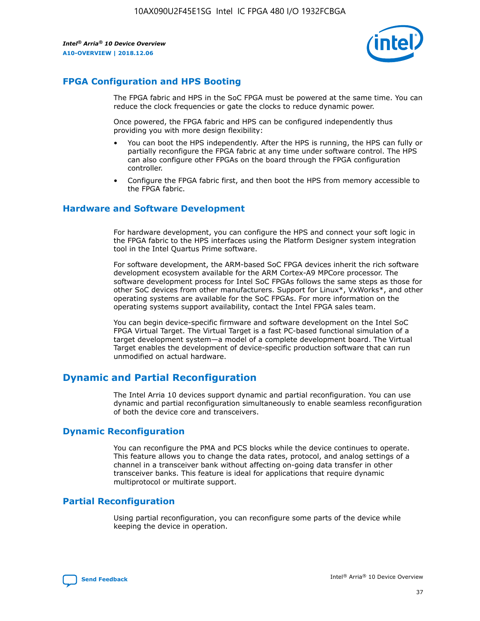

# **FPGA Configuration and HPS Booting**

The FPGA fabric and HPS in the SoC FPGA must be powered at the same time. You can reduce the clock frequencies or gate the clocks to reduce dynamic power.

Once powered, the FPGA fabric and HPS can be configured independently thus providing you with more design flexibility:

- You can boot the HPS independently. After the HPS is running, the HPS can fully or partially reconfigure the FPGA fabric at any time under software control. The HPS can also configure other FPGAs on the board through the FPGA configuration controller.
- Configure the FPGA fabric first, and then boot the HPS from memory accessible to the FPGA fabric.

## **Hardware and Software Development**

For hardware development, you can configure the HPS and connect your soft logic in the FPGA fabric to the HPS interfaces using the Platform Designer system integration tool in the Intel Quartus Prime software.

For software development, the ARM-based SoC FPGA devices inherit the rich software development ecosystem available for the ARM Cortex-A9 MPCore processor. The software development process for Intel SoC FPGAs follows the same steps as those for other SoC devices from other manufacturers. Support for Linux\*, VxWorks\*, and other operating systems are available for the SoC FPGAs. For more information on the operating systems support availability, contact the Intel FPGA sales team.

You can begin device-specific firmware and software development on the Intel SoC FPGA Virtual Target. The Virtual Target is a fast PC-based functional simulation of a target development system—a model of a complete development board. The Virtual Target enables the development of device-specific production software that can run unmodified on actual hardware.

# **Dynamic and Partial Reconfiguration**

The Intel Arria 10 devices support dynamic and partial reconfiguration. You can use dynamic and partial reconfiguration simultaneously to enable seamless reconfiguration of both the device core and transceivers.

# **Dynamic Reconfiguration**

You can reconfigure the PMA and PCS blocks while the device continues to operate. This feature allows you to change the data rates, protocol, and analog settings of a channel in a transceiver bank without affecting on-going data transfer in other transceiver banks. This feature is ideal for applications that require dynamic multiprotocol or multirate support.

# **Partial Reconfiguration**

Using partial reconfiguration, you can reconfigure some parts of the device while keeping the device in operation.

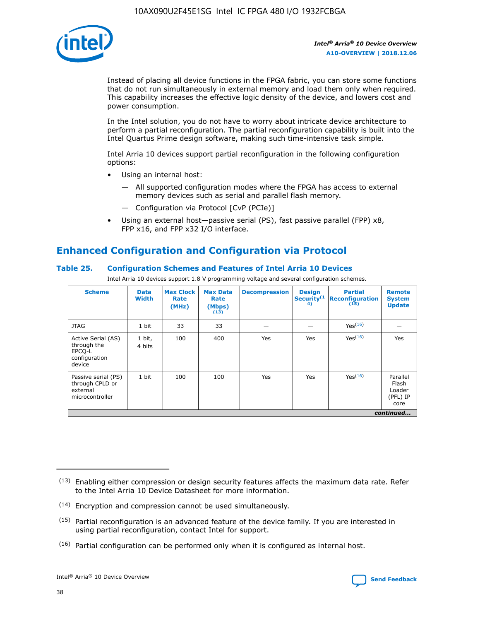

Instead of placing all device functions in the FPGA fabric, you can store some functions that do not run simultaneously in external memory and load them only when required. This capability increases the effective logic density of the device, and lowers cost and power consumption.

In the Intel solution, you do not have to worry about intricate device architecture to perform a partial reconfiguration. The partial reconfiguration capability is built into the Intel Quartus Prime design software, making such time-intensive task simple.

Intel Arria 10 devices support partial reconfiguration in the following configuration options:

- Using an internal host:
	- All supported configuration modes where the FPGA has access to external memory devices such as serial and parallel flash memory.
	- Configuration via Protocol [CvP (PCIe)]
- Using an external host—passive serial (PS), fast passive parallel (FPP) x8, FPP x16, and FPP x32 I/O interface.

# **Enhanced Configuration and Configuration via Protocol**

## **Table 25. Configuration Schemes and Features of Intel Arria 10 Devices**

Intel Arria 10 devices support 1.8 V programming voltage and several configuration schemes.

| <b>Scheme</b>                                                          | <b>Data</b><br><b>Width</b> | <b>Max Clock</b><br>Rate<br>(MHz) | <b>Max Data</b><br>Rate<br>(Mbps)<br>(13) | <b>Decompression</b> | <b>Design</b><br>Security <sup>(1</sup><br>4) | <b>Partial</b><br><b>Reconfiguration</b><br>(15) | <b>Remote</b><br><b>System</b><br><b>Update</b> |
|------------------------------------------------------------------------|-----------------------------|-----------------------------------|-------------------------------------------|----------------------|-----------------------------------------------|--------------------------------------------------|-------------------------------------------------|
| <b>JTAG</b>                                                            | 1 bit                       | 33                                | 33                                        |                      |                                               | Yes(16)                                          |                                                 |
| Active Serial (AS)<br>through the<br>EPCO-L<br>configuration<br>device | 1 bit,<br>4 bits            | 100                               | 400                                       | Yes                  | Yes                                           | Yes(16)                                          | Yes                                             |
| Passive serial (PS)<br>through CPLD or<br>external<br>microcontroller  | 1 bit                       | 100                               | 100                                       | Yes                  | Yes                                           | Yes <sup>(16)</sup>                              | Parallel<br>Flash<br>Loader<br>(PFL) IP<br>core |
|                                                                        |                             |                                   |                                           |                      |                                               |                                                  | continued                                       |

<sup>(13)</sup> Enabling either compression or design security features affects the maximum data rate. Refer to the Intel Arria 10 Device Datasheet for more information.

<sup>(14)</sup> Encryption and compression cannot be used simultaneously.

 $(15)$  Partial reconfiguration is an advanced feature of the device family. If you are interested in using partial reconfiguration, contact Intel for support.

 $(16)$  Partial configuration can be performed only when it is configured as internal host.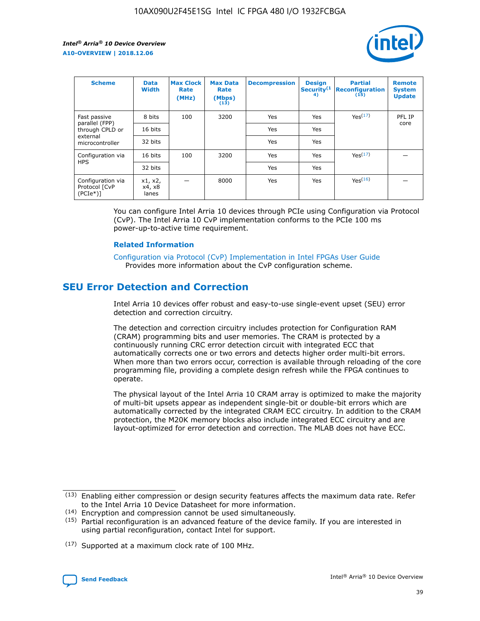

| <b>Scheme</b>                                    | <b>Data</b><br><b>Width</b> | <b>Max Clock</b><br>Rate<br>(MHz) | <b>Max Data</b><br>Rate<br>(Mbps)<br>(13) | <b>Decompression</b> | <b>Design</b><br>Security <sup>(1</sup><br>4) | <b>Partial</b><br><b>Reconfiguration</b><br>(15) | <b>Remote</b><br><b>System</b><br><b>Update</b> |
|--------------------------------------------------|-----------------------------|-----------------------------------|-------------------------------------------|----------------------|-----------------------------------------------|--------------------------------------------------|-------------------------------------------------|
| Fast passive                                     | 8 bits                      | 100                               | 3200                                      | Yes                  | Yes                                           | Yes(17)                                          | PFL IP                                          |
| parallel (FPP)<br>through CPLD or                | 16 bits                     |                                   |                                           | Yes                  | Yes                                           |                                                  | core                                            |
| external<br>microcontroller                      | 32 bits                     |                                   |                                           | Yes                  | Yes                                           |                                                  |                                                 |
| Configuration via                                | 16 bits                     | 100                               | 3200                                      | Yes                  | Yes                                           | Yes <sup>(17)</sup>                              |                                                 |
| <b>HPS</b>                                       | 32 bits                     |                                   |                                           | Yes                  | Yes                                           |                                                  |                                                 |
| Configuration via<br>Protocol [CvP<br>$(PCIe^*)$ | x1, x2,<br>x4, x8<br>lanes  |                                   | 8000                                      | Yes                  | Yes                                           | Yes(16)                                          |                                                 |

You can configure Intel Arria 10 devices through PCIe using Configuration via Protocol (CvP). The Intel Arria 10 CvP implementation conforms to the PCIe 100 ms power-up-to-active time requirement.

#### **Related Information**

[Configuration via Protocol \(CvP\) Implementation in Intel FPGAs User Guide](https://www.intel.com/content/www/us/en/programmable/documentation/dsu1441819344145.html#dsu1442269728522) Provides more information about the CvP configuration scheme.

# **SEU Error Detection and Correction**

Intel Arria 10 devices offer robust and easy-to-use single-event upset (SEU) error detection and correction circuitry.

The detection and correction circuitry includes protection for Configuration RAM (CRAM) programming bits and user memories. The CRAM is protected by a continuously running CRC error detection circuit with integrated ECC that automatically corrects one or two errors and detects higher order multi-bit errors. When more than two errors occur, correction is available through reloading of the core programming file, providing a complete design refresh while the FPGA continues to operate.

The physical layout of the Intel Arria 10 CRAM array is optimized to make the majority of multi-bit upsets appear as independent single-bit or double-bit errors which are automatically corrected by the integrated CRAM ECC circuitry. In addition to the CRAM protection, the M20K memory blocks also include integrated ECC circuitry and are layout-optimized for error detection and correction. The MLAB does not have ECC.

(14) Encryption and compression cannot be used simultaneously.

<sup>(17)</sup> Supported at a maximum clock rate of 100 MHz.



 $(13)$  Enabling either compression or design security features affects the maximum data rate. Refer to the Intel Arria 10 Device Datasheet for more information.

 $(15)$  Partial reconfiguration is an advanced feature of the device family. If you are interested in using partial reconfiguration, contact Intel for support.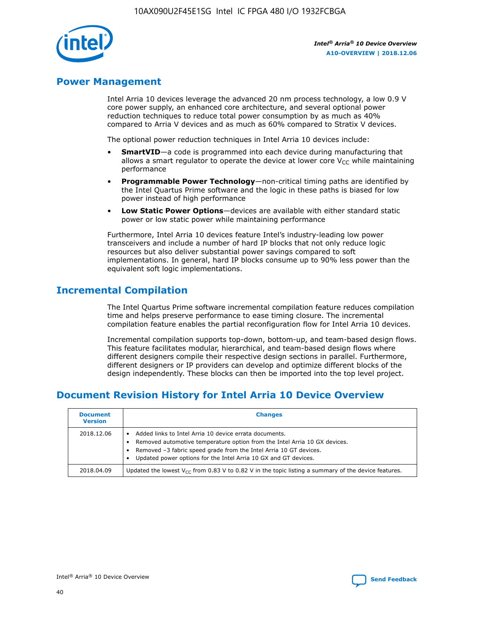

# **Power Management**

Intel Arria 10 devices leverage the advanced 20 nm process technology, a low 0.9 V core power supply, an enhanced core architecture, and several optional power reduction techniques to reduce total power consumption by as much as 40% compared to Arria V devices and as much as 60% compared to Stratix V devices.

The optional power reduction techniques in Intel Arria 10 devices include:

- **SmartVID**—a code is programmed into each device during manufacturing that allows a smart regulator to operate the device at lower core  $V_{CC}$  while maintaining performance
- **Programmable Power Technology**—non-critical timing paths are identified by the Intel Quartus Prime software and the logic in these paths is biased for low power instead of high performance
- **Low Static Power Options**—devices are available with either standard static power or low static power while maintaining performance

Furthermore, Intel Arria 10 devices feature Intel's industry-leading low power transceivers and include a number of hard IP blocks that not only reduce logic resources but also deliver substantial power savings compared to soft implementations. In general, hard IP blocks consume up to 90% less power than the equivalent soft logic implementations.

# **Incremental Compilation**

The Intel Quartus Prime software incremental compilation feature reduces compilation time and helps preserve performance to ease timing closure. The incremental compilation feature enables the partial reconfiguration flow for Intel Arria 10 devices.

Incremental compilation supports top-down, bottom-up, and team-based design flows. This feature facilitates modular, hierarchical, and team-based design flows where different designers compile their respective design sections in parallel. Furthermore, different designers or IP providers can develop and optimize different blocks of the design independently. These blocks can then be imported into the top level project.

# **Document Revision History for Intel Arria 10 Device Overview**

| <b>Document</b><br><b>Version</b> | <b>Changes</b>                                                                                                                                                                                                                                                              |
|-----------------------------------|-----------------------------------------------------------------------------------------------------------------------------------------------------------------------------------------------------------------------------------------------------------------------------|
| 2018.12.06                        | Added links to Intel Arria 10 device errata documents.<br>Removed automotive temperature option from the Intel Arria 10 GX devices.<br>Removed -3 fabric speed grade from the Intel Arria 10 GT devices.<br>Updated power options for the Intel Arria 10 GX and GT devices. |
| 2018.04.09                        | Updated the lowest $V_{CC}$ from 0.83 V to 0.82 V in the topic listing a summary of the device features.                                                                                                                                                                    |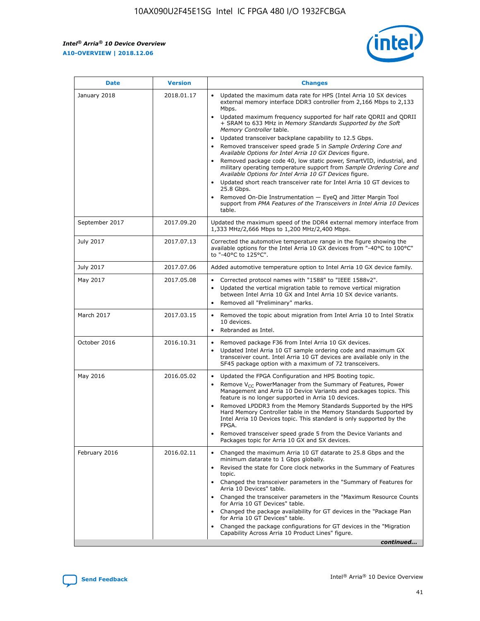

| <b>Date</b>    | <b>Version</b> | <b>Changes</b>                                                                                                                                                                                                                                                                                                                                                                                                                                                                                                                                                                                                                                                                                                                                                                                                                                                                                                                                               |
|----------------|----------------|--------------------------------------------------------------------------------------------------------------------------------------------------------------------------------------------------------------------------------------------------------------------------------------------------------------------------------------------------------------------------------------------------------------------------------------------------------------------------------------------------------------------------------------------------------------------------------------------------------------------------------------------------------------------------------------------------------------------------------------------------------------------------------------------------------------------------------------------------------------------------------------------------------------------------------------------------------------|
| January 2018   | 2018.01.17     | Updated the maximum data rate for HPS (Intel Arria 10 SX devices<br>external memory interface DDR3 controller from 2,166 Mbps to 2,133<br>Mbps.<br>Updated maximum frequency supported for half rate QDRII and QDRII<br>+ SRAM to 633 MHz in Memory Standards Supported by the Soft<br>Memory Controller table.<br>Updated transceiver backplane capability to 12.5 Gbps.<br>Removed transceiver speed grade 5 in Sample Ordering Core and<br>Available Options for Intel Arria 10 GX Devices figure.<br>Removed package code 40, low static power, SmartVID, industrial, and<br>military operating temperature support from Sample Ordering Core and<br>Available Options for Intel Arria 10 GT Devices figure.<br>Updated short reach transceiver rate for Intel Arria 10 GT devices to<br>25.8 Gbps.<br>Removed On-Die Instrumentation - EyeQ and Jitter Margin Tool<br>support from PMA Features of the Transceivers in Intel Arria 10 Devices<br>table. |
| September 2017 | 2017.09.20     | Updated the maximum speed of the DDR4 external memory interface from<br>1,333 MHz/2,666 Mbps to 1,200 MHz/2,400 Mbps.                                                                                                                                                                                                                                                                                                                                                                                                                                                                                                                                                                                                                                                                                                                                                                                                                                        |
| July 2017      | 2017.07.13     | Corrected the automotive temperature range in the figure showing the<br>available options for the Intel Arria 10 GX devices from "-40°C to 100°C"<br>to "-40°C to 125°C".                                                                                                                                                                                                                                                                                                                                                                                                                                                                                                                                                                                                                                                                                                                                                                                    |
| July 2017      | 2017.07.06     | Added automotive temperature option to Intel Arria 10 GX device family.                                                                                                                                                                                                                                                                                                                                                                                                                                                                                                                                                                                                                                                                                                                                                                                                                                                                                      |
| May 2017       | 2017.05.08     | Corrected protocol names with "1588" to "IEEE 1588v2".<br>$\bullet$<br>Updated the vertical migration table to remove vertical migration<br>$\bullet$<br>between Intel Arria 10 GX and Intel Arria 10 SX device variants.<br>Removed all "Preliminary" marks.<br>$\bullet$                                                                                                                                                                                                                                                                                                                                                                                                                                                                                                                                                                                                                                                                                   |
| March 2017     | 2017.03.15     | Removed the topic about migration from Intel Arria 10 to Intel Stratix<br>$\bullet$<br>10 devices.<br>Rebranded as Intel.<br>$\bullet$                                                                                                                                                                                                                                                                                                                                                                                                                                                                                                                                                                                                                                                                                                                                                                                                                       |
| October 2016   | 2016.10.31     | Removed package F36 from Intel Arria 10 GX devices.<br>Updated Intel Arria 10 GT sample ordering code and maximum GX<br>$\bullet$<br>transceiver count. Intel Arria 10 GT devices are available only in the<br>SF45 package option with a maximum of 72 transceivers.                                                                                                                                                                                                                                                                                                                                                                                                                                                                                                                                                                                                                                                                                        |
| May 2016       | 2016.05.02     | Updated the FPGA Configuration and HPS Booting topic.<br>$\bullet$<br>Remove V <sub>CC</sub> PowerManager from the Summary of Features, Power<br>Management and Arria 10 Device Variants and packages topics. This<br>feature is no longer supported in Arria 10 devices.<br>Removed LPDDR3 from the Memory Standards Supported by the HPS<br>Hard Memory Controller table in the Memory Standards Supported by<br>Intel Arria 10 Devices topic. This standard is only supported by the<br><b>FPGA</b><br>Removed transceiver speed grade 5 from the Device Variants and<br>Packages topic for Arria 10 GX and SX devices.                                                                                                                                                                                                                                                                                                                                   |
| February 2016  | 2016.02.11     | Changed the maximum Arria 10 GT datarate to 25.8 Gbps and the<br>$\bullet$<br>minimum datarate to 1 Gbps globally.<br>Revised the state for Core clock networks in the Summary of Features<br>$\bullet$<br>topic.<br>Changed the transceiver parameters in the "Summary of Features for<br>$\bullet$<br>Arria 10 Devices" table.<br>Changed the transceiver parameters in the "Maximum Resource Counts<br>for Arria 10 GT Devices" table.<br>Changed the package availability for GT devices in the "Package Plan<br>for Arria 10 GT Devices" table.<br>Changed the package configurations for GT devices in the "Migration"<br>Capability Across Arria 10 Product Lines" figure.<br>continued                                                                                                                                                                                                                                                               |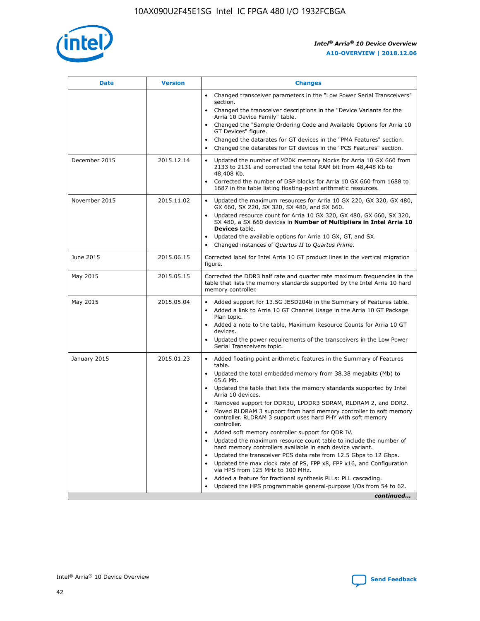

| <b>Date</b>   | <b>Version</b> | <b>Changes</b>                                                                                                                                                               |
|---------------|----------------|------------------------------------------------------------------------------------------------------------------------------------------------------------------------------|
|               |                | Changed transceiver parameters in the "Low Power Serial Transceivers"<br>$\bullet$<br>section.                                                                               |
|               |                | • Changed the transceiver descriptions in the "Device Variants for the<br>Arria 10 Device Family" table.                                                                     |
|               |                | • Changed the "Sample Ordering Code and Available Options for Arria 10<br>GT Devices" figure.                                                                                |
|               |                | Changed the datarates for GT devices in the "PMA Features" section.                                                                                                          |
|               |                | Changed the datarates for GT devices in the "PCS Features" section.<br>$\bullet$                                                                                             |
| December 2015 | 2015.12.14     | Updated the number of M20K memory blocks for Arria 10 GX 660 from<br>2133 to 2131 and corrected the total RAM bit from 48,448 Kb to<br>48,408 Kb.                            |
|               |                | Corrected the number of DSP blocks for Arria 10 GX 660 from 1688 to<br>$\bullet$<br>1687 in the table listing floating-point arithmetic resources.                           |
| November 2015 | 2015.11.02     | Updated the maximum resources for Arria 10 GX 220, GX 320, GX 480,<br>GX 660, SX 220, SX 320, SX 480, and SX 660.                                                            |
|               |                | Updated resource count for Arria 10 GX 320, GX 480, GX 660, SX 320,<br>SX 480, a SX 660 devices in Number of Multipliers in Intel Arria 10<br><b>Devices</b> table.          |
|               |                | Updated the available options for Arria 10 GX, GT, and SX.<br>$\bullet$                                                                                                      |
|               |                | Changed instances of Quartus II to Quartus Prime.<br>$\bullet$                                                                                                               |
| June 2015     | 2015.06.15     | Corrected label for Intel Arria 10 GT product lines in the vertical migration<br>figure.                                                                                     |
| May 2015      | 2015.05.15     | Corrected the DDR3 half rate and quarter rate maximum frequencies in the<br>table that lists the memory standards supported by the Intel Arria 10 hard<br>memory controller. |
| May 2015      | 2015.05.04     | • Added support for 13.5G JESD204b in the Summary of Features table.                                                                                                         |
|               |                | Added a link to Arria 10 GT Channel Usage in the Arria 10 GT Package<br>$\bullet$<br>Plan topic.                                                                             |
|               |                | • Added a note to the table, Maximum Resource Counts for Arria 10 GT<br>devices.                                                                                             |
|               |                | • Updated the power requirements of the transceivers in the Low Power<br>Serial Transceivers topic.                                                                          |
| January 2015  | 2015.01.23     | • Added floating point arithmetic features in the Summary of Features<br>table.                                                                                              |
|               |                | • Updated the total embedded memory from 38.38 megabits (Mb) to<br>65.6 Mb.                                                                                                  |
|               |                | • Updated the table that lists the memory standards supported by Intel<br>Arria 10 devices.                                                                                  |
|               |                | Removed support for DDR3U, LPDDR3 SDRAM, RLDRAM 2, and DDR2.                                                                                                                 |
|               |                | Moved RLDRAM 3 support from hard memory controller to soft memory<br>controller. RLDRAM 3 support uses hard PHY with soft memory<br>controller.                              |
|               |                | Added soft memory controller support for QDR IV.                                                                                                                             |
|               |                | Updated the maximum resource count table to include the number of<br>hard memory controllers available in each device variant.                                               |
|               |                | Updated the transceiver PCS data rate from 12.5 Gbps to 12 Gbps.                                                                                                             |
|               |                | Updated the max clock rate of PS, FPP x8, FPP x16, and Configuration<br>via HPS from 125 MHz to 100 MHz.                                                                     |
|               |                | Added a feature for fractional synthesis PLLs: PLL cascading.                                                                                                                |
|               |                | Updated the HPS programmable general-purpose I/Os from 54 to 62.<br>$\bullet$                                                                                                |
|               |                | continued                                                                                                                                                                    |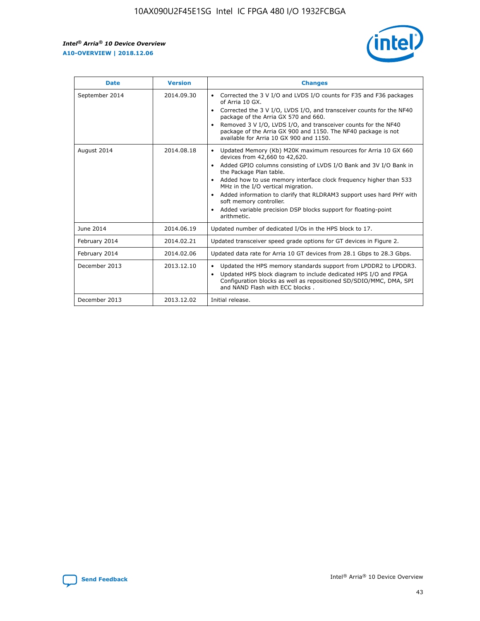

| <b>Date</b>    | <b>Version</b> | <b>Changes</b>                                                                                                                                                                                                                                                                                                                                                                                                                                                                                                                                      |
|----------------|----------------|-----------------------------------------------------------------------------------------------------------------------------------------------------------------------------------------------------------------------------------------------------------------------------------------------------------------------------------------------------------------------------------------------------------------------------------------------------------------------------------------------------------------------------------------------------|
| September 2014 | 2014.09.30     | Corrected the 3 V I/O and LVDS I/O counts for F35 and F36 packages<br>$\bullet$<br>of Arria 10 GX.<br>Corrected the 3 V I/O, LVDS I/O, and transceiver counts for the NF40<br>$\bullet$<br>package of the Arria GX 570 and 660.<br>Removed 3 V I/O, LVDS I/O, and transceiver counts for the NF40<br>$\bullet$<br>package of the Arria GX 900 and 1150. The NF40 package is not<br>available for Arria 10 GX 900 and 1150.                                                                                                                          |
| August 2014    | 2014.08.18     | Updated Memory (Kb) M20K maximum resources for Arria 10 GX 660<br>devices from 42,660 to 42,620.<br>Added GPIO columns consisting of LVDS I/O Bank and 3V I/O Bank in<br>$\bullet$<br>the Package Plan table.<br>Added how to use memory interface clock frequency higher than 533<br>$\bullet$<br>MHz in the I/O vertical migration.<br>Added information to clarify that RLDRAM3 support uses hard PHY with<br>$\bullet$<br>soft memory controller.<br>Added variable precision DSP blocks support for floating-point<br>$\bullet$<br>arithmetic. |
| June 2014      | 2014.06.19     | Updated number of dedicated I/Os in the HPS block to 17.                                                                                                                                                                                                                                                                                                                                                                                                                                                                                            |
| February 2014  | 2014.02.21     | Updated transceiver speed grade options for GT devices in Figure 2.                                                                                                                                                                                                                                                                                                                                                                                                                                                                                 |
| February 2014  | 2014.02.06     | Updated data rate for Arria 10 GT devices from 28.1 Gbps to 28.3 Gbps.                                                                                                                                                                                                                                                                                                                                                                                                                                                                              |
| December 2013  | 2013.12.10     | Updated the HPS memory standards support from LPDDR2 to LPDDR3.<br>Updated HPS block diagram to include dedicated HPS I/O and FPGA<br>$\bullet$<br>Configuration blocks as well as repositioned SD/SDIO/MMC, DMA, SPI<br>and NAND Flash with ECC blocks.                                                                                                                                                                                                                                                                                            |
| December 2013  | 2013.12.02     | Initial release.                                                                                                                                                                                                                                                                                                                                                                                                                                                                                                                                    |